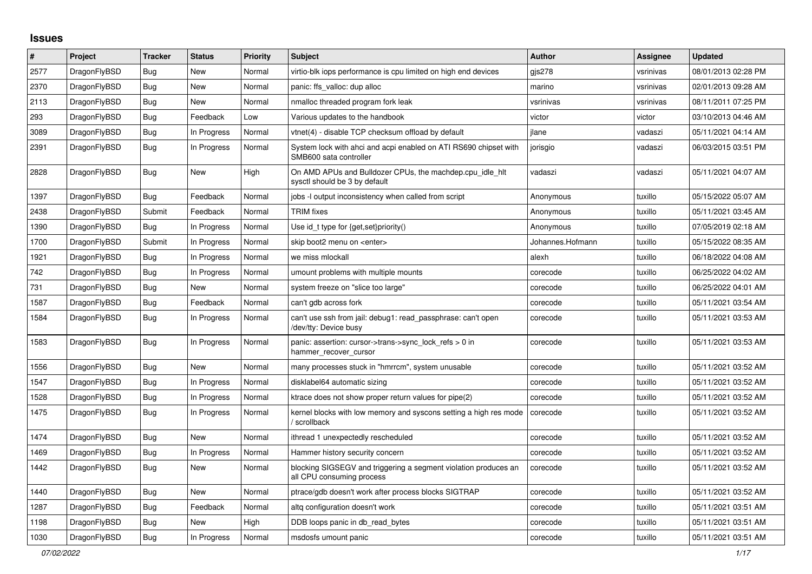## **Issues**

| $\vert$ # | Project      | <b>Tracker</b> | <b>Status</b> | <b>Priority</b> | <b>Subject</b>                                                                               | <b>Author</b>    | <b>Assignee</b> | <b>Updated</b>      |
|-----------|--------------|----------------|---------------|-----------------|----------------------------------------------------------------------------------------------|------------------|-----------------|---------------------|
| 2577      | DragonFlyBSD | Bug            | New           | Normal          | virtio-blk iops performance is cpu limited on high end devices                               | gis278           | vsrinivas       | 08/01/2013 02:28 PM |
| 2370      | DragonFlyBSD | Bug            | New           | Normal          | panic: ffs valloc: dup alloc                                                                 | marino           | vsrinivas       | 02/01/2013 09:28 AM |
| 2113      | DragonFlyBSD | <b>Bug</b>     | New           | Normal          | nmalloc threaded program fork leak                                                           | vsrinivas        | vsrinivas       | 08/11/2011 07:25 PM |
| 293       | DragonFlyBSD | Bug            | Feedback      | Low             | Various updates to the handbook                                                              | victor           | victor          | 03/10/2013 04:46 AM |
| 3089      | DragonFlyBSD | <b>Bug</b>     | In Progress   | Normal          | vtnet(4) - disable TCP checksum offload by default                                           | jlane            | vadaszi         | 05/11/2021 04:14 AM |
| 2391      | DragonFlyBSD | <b>Bug</b>     | In Progress   | Normal          | System lock with ahci and acpi enabled on ATI RS690 chipset with<br>SMB600 sata controller   | jorisgio         | vadaszi         | 06/03/2015 03:51 PM |
| 2828      | DragonFlyBSD | <b>Bug</b>     | New           | High            | On AMD APUs and Bulldozer CPUs, the machdep.cpu idle hit<br>sysctl should be 3 by default    | vadaszi          | vadaszi         | 05/11/2021 04:07 AM |
| 1397      | DragonFlyBSD | Bug            | Feedback      | Normal          | jobs -I output inconsistency when called from script                                         | Anonymous        | tuxillo         | 05/15/2022 05:07 AM |
| 2438      | DragonFlyBSD | Submit         | Feedback      | Normal          | <b>TRIM</b> fixes                                                                            | Anonymous        | tuxillo         | 05/11/2021 03:45 AM |
| 1390      | DragonFlyBSD | <b>Bug</b>     | In Progress   | Normal          | Use id_t type for {get,set}priority()                                                        | Anonymous        | tuxillo         | 07/05/2019 02:18 AM |
| 1700      | DragonFlyBSD | Submit         | In Progress   | Normal          | skip boot2 menu on <enter></enter>                                                           | Johannes.Hofmann | tuxillo         | 05/15/2022 08:35 AM |
| 1921      | DragonFlyBSD | <b>Bug</b>     | In Progress   | Normal          | we miss mlockall                                                                             | alexh            | tuxillo         | 06/18/2022 04:08 AM |
| 742       | DragonFlyBSD | Bug            | In Progress   | Normal          | umount problems with multiple mounts                                                         | corecode         | tuxillo         | 06/25/2022 04:02 AM |
| 731       | DragonFlyBSD | <b>Bug</b>     | <b>New</b>    | Normal          | system freeze on "slice too large"                                                           | corecode         | tuxillo         | 06/25/2022 04:01 AM |
| 1587      | DragonFlyBSD | Bug            | Feedback      | Normal          | can't gdb across fork                                                                        | corecode         | tuxillo         | 05/11/2021 03:54 AM |
| 1584      | DragonFlyBSD | <b>Bug</b>     | In Progress   | Normal          | can't use ssh from jail: debug1: read passphrase: can't open<br>/dev/tty: Device busy        | corecode         | tuxillo         | 05/11/2021 03:53 AM |
| 1583      | DragonFlyBSD | <b>Bug</b>     | In Progress   | Normal          | panic: assertion: cursor->trans->sync_lock_refs > 0 in<br>hammer_recover_cursor              | corecode         | tuxillo         | 05/11/2021 03:53 AM |
| 1556      | DragonFlyBSD | <b>Bug</b>     | <b>New</b>    | Normal          | many processes stuck in "hmrrcm", system unusable                                            | corecode         | tuxillo         | 05/11/2021 03:52 AM |
| 1547      | DragonFlyBSD | Bug            | In Progress   | Normal          | disklabel64 automatic sizing                                                                 | corecode         | tuxillo         | 05/11/2021 03:52 AM |
| 1528      | DragonFlyBSD | Bug            | In Progress   | Normal          | ktrace does not show proper return values for pipe(2)                                        | corecode         | tuxillo         | 05/11/2021 03:52 AM |
| 1475      | DragonFlyBSD | <b>Bug</b>     | In Progress   | Normal          | kernel blocks with low memory and syscons setting a high res mode<br>/ scrollback            | corecode         | tuxillo         | 05/11/2021 03:52 AM |
| 1474      | DragonFlyBSD | <b>Bug</b>     | New           | Normal          | ithread 1 unexpectedly rescheduled                                                           | corecode         | tuxillo         | 05/11/2021 03:52 AM |
| 1469      | DragonFlyBSD | Bug            | In Progress   | Normal          | Hammer history security concern                                                              | corecode         | tuxillo         | 05/11/2021 03:52 AM |
| 1442      | DragonFlyBSD | Bug            | New           | Normal          | blocking SIGSEGV and triggering a segment violation produces an<br>all CPU consuming process | corecode         | tuxillo         | 05/11/2021 03:52 AM |
| 1440      | DragonFlyBSD | <b>Bug</b>     | New           | Normal          | ptrace/gdb doesn't work after process blocks SIGTRAP                                         | corecode         | tuxillo         | 05/11/2021 03:52 AM |
| 1287      | DragonFlyBSD | Bug            | Feedback      | Normal          | altg configuration doesn't work                                                              | corecode         | tuxillo         | 05/11/2021 03:51 AM |
| 1198      | DragonFlyBSD | Bug            | New           | High            | DDB loops panic in db read bytes                                                             | corecode         | tuxillo         | 05/11/2021 03:51 AM |
| 1030      | DragonFlyBSD | Bug            | In Progress   | Normal          | msdosfs umount panic                                                                         | corecode         | tuxillo         | 05/11/2021 03:51 AM |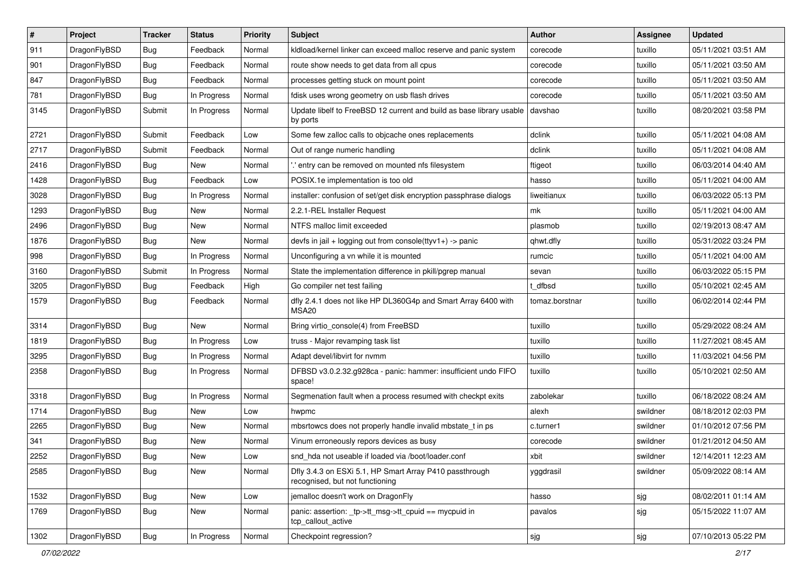| $\sharp$ | Project      | <b>Tracker</b> | <b>Status</b> | <b>Priority</b> | Subject                                                                                    | <b>Author</b>  | Assignee | <b>Updated</b>      |
|----------|--------------|----------------|---------------|-----------------|--------------------------------------------------------------------------------------------|----------------|----------|---------------------|
| 911      | DragonFlyBSD | Bug            | Feedback      | Normal          | kldload/kernel linker can exceed malloc reserve and panic system                           | corecode       | tuxillo  | 05/11/2021 03:51 AM |
| 901      | DragonFlyBSD | Bug            | Feedback      | Normal          | route show needs to get data from all cpus                                                 | corecode       | tuxillo  | 05/11/2021 03:50 AM |
| 847      | DragonFlyBSD | <b>Bug</b>     | Feedback      | Normal          | processes getting stuck on mount point                                                     | corecode       | tuxillo  | 05/11/2021 03:50 AM |
| 781      | DragonFlyBSD | <b>Bug</b>     | In Progress   | Normal          | fdisk uses wrong geometry on usb flash drives                                              | corecode       | tuxillo  | 05/11/2021 03:50 AM |
| 3145     | DragonFlyBSD | Submit         | In Progress   | Normal          | Update libelf to FreeBSD 12 current and build as base library usable<br>by ports           | davshao        | tuxillo  | 08/20/2021 03:58 PM |
| 2721     | DragonFlyBSD | Submit         | Feedback      | Low             | Some few zalloc calls to objcache ones replacements                                        | dclink         | tuxillo  | 05/11/2021 04:08 AM |
| 2717     | DragonFlyBSD | Submit         | Feedback      | Normal          | Out of range numeric handling                                                              | dclink         | tuxillo  | 05/11/2021 04:08 AM |
| 2416     | DragonFlyBSD | Bug            | New           | Normal          | ".' entry can be removed on mounted nfs filesystem                                         | ftigeot        | tuxillo  | 06/03/2014 04:40 AM |
| 1428     | DragonFlyBSD | Bug            | Feedback      | Low             | POSIX.1e implementation is too old                                                         | hasso          | tuxillo  | 05/11/2021 04:00 AM |
| 3028     | DragonFlyBSD | <b>Bug</b>     | In Progress   | Normal          | installer: confusion of set/get disk encryption passphrase dialogs                         | liweitianux    | tuxillo  | 06/03/2022 05:13 PM |
| 1293     | DragonFlyBSD | Bug            | New           | Normal          | 2.2.1-REL Installer Request                                                                | mk             | tuxillo  | 05/11/2021 04:00 AM |
| 2496     | DragonFlyBSD | <b>Bug</b>     | New           | Normal          | NTFS malloc limit exceeded                                                                 | plasmob        | tuxillo  | 02/19/2013 08:47 AM |
| 1876     | DragonFlyBSD | <b>Bug</b>     | <b>New</b>    | Normal          | devfs in jail + logging out from console(ttyv1+) -> panic                                  | qhwt.dfly      | tuxillo  | 05/31/2022 03:24 PM |
| 998      | DragonFlyBSD | <b>Bug</b>     | In Progress   | Normal          | Unconfiguring a vn while it is mounted                                                     | rumcic         | tuxillo  | 05/11/2021 04:00 AM |
| 3160     | DragonFlyBSD | Submit         | In Progress   | Normal          | State the implementation difference in pkill/pgrep manual                                  | sevan          | tuxillo  | 06/03/2022 05:15 PM |
| 3205     | DragonFlyBSD | <b>Bug</b>     | Feedback      | High            | Go compiler net test failing                                                               | t dfbsd        | tuxillo  | 05/10/2021 02:45 AM |
| 1579     | DragonFlyBSD | Bug            | Feedback      | Normal          | dfly 2.4.1 does not like HP DL360G4p and Smart Array 6400 with<br>MSA <sub>20</sub>        | tomaz.borstnar | tuxillo  | 06/02/2014 02:44 PM |
| 3314     | DragonFlyBSD | Bug            | New           | Normal          | Bring virtio_console(4) from FreeBSD                                                       | tuxillo        | tuxillo  | 05/29/2022 08:24 AM |
| 1819     | DragonFlyBSD | Bug            | In Progress   | Low             | truss - Major revamping task list                                                          | tuxillo        | tuxillo  | 11/27/2021 08:45 AM |
| 3295     | DragonFlyBSD | <b>Bug</b>     | In Progress   | Normal          | Adapt devel/libvirt for nvmm                                                               | tuxillo        | tuxillo  | 11/03/2021 04:56 PM |
| 2358     | DragonFlyBSD | Bug            | In Progress   | Normal          | DFBSD v3.0.2.32.g928ca - panic: hammer: insufficient undo FIFO<br>space!                   | tuxillo        | tuxillo  | 05/10/2021 02:50 AM |
| 3318     | DragonFlyBSD | Bug            | In Progress   | Normal          | Segmenation fault when a process resumed with checkpt exits                                | zabolekar      | tuxillo  | 06/18/2022 08:24 AM |
| 1714     | DragonFlyBSD | Bug            | <b>New</b>    | Low             | hwpmc                                                                                      | alexh          | swildner | 08/18/2012 02:03 PM |
| 2265     | DragonFlyBSD | <b>Bug</b>     | <b>New</b>    | Normal          | mbsrtowcs does not properly handle invalid mbstate_t in ps                                 | c.turner1      | swildner | 01/10/2012 07:56 PM |
| 341      | DragonFlyBSD | <b>Bug</b>     | New           | Normal          | Vinum erroneously repors devices as busy                                                   | corecode       | swildner | 01/21/2012 04:50 AM |
| 2252     | DragonFlyBSD | Bug            | <b>New</b>    | Low             | snd_hda not useable if loaded via /boot/loader.conf                                        | xbit           | swildner | 12/14/2011 12:23 AM |
| 2585     | DragonFlyBSD | Bug            | New           | Normal          | Dfly 3.4.3 on ESXi 5.1, HP Smart Array P410 passthrough<br>recognised, but not functioning | yggdrasil      | swildner | 05/09/2022 08:14 AM |
| 1532     | DragonFlyBSD | Bug            | New           | Low             | jemalloc doesn't work on DragonFly                                                         | hasso          | sjg      | 08/02/2011 01:14 AM |
| 1769     | DragonFlyBSD | <b>Bug</b>     | New           | Normal          | panic: assertion: tp->tt_msg->tt_cpuid == mycpuid in<br>tcp_callout_active                 | pavalos        | sjg      | 05/15/2022 11:07 AM |
| 1302     | DragonFlyBSD | Bug            | In Progress   | Normal          | Checkpoint regression?                                                                     | sjg            | sjg      | 07/10/2013 05:22 PM |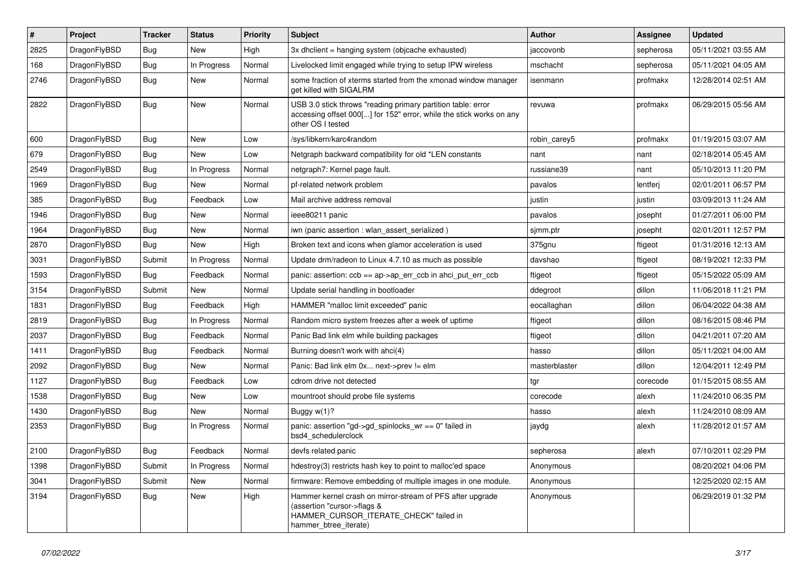| $\pmb{\#}$ | Project      | <b>Tracker</b> | <b>Status</b> | <b>Priority</b> | <b>Subject</b>                                                                                                                                              | Author        | <b>Assignee</b> | <b>Updated</b>      |
|------------|--------------|----------------|---------------|-----------------|-------------------------------------------------------------------------------------------------------------------------------------------------------------|---------------|-----------------|---------------------|
| 2825       | DragonFlyBSD | Bug            | New           | High            | 3x dhclient = hanging system (objcache exhausted)                                                                                                           | jaccovonb     | sepherosa       | 05/11/2021 03:55 AM |
| 168        | DragonFlyBSD | Bug            | In Progress   | Normal          | Livelocked limit engaged while trying to setup IPW wireless                                                                                                 | mschacht      | sepherosa       | 05/11/2021 04:05 AM |
| 2746       | DragonFlyBSD | Bug            | New           | Normal          | some fraction of xterms started from the xmonad window manager<br>get killed with SIGALRM                                                                   | isenmann      | profmakx        | 12/28/2014 02:51 AM |
| 2822       | DragonFlyBSD | Bug            | <b>New</b>    | Normal          | USB 3.0 stick throws "reading primary partition table: error<br>accessing offset 000[] for 152" error, while the stick works on any<br>other OS I tested    | revuwa        | profmakx        | 06/29/2015 05:56 AM |
| 600        | DragonFlyBSD | Bug            | <b>New</b>    | Low             | /sys/libkern/karc4random                                                                                                                                    | robin carey5  | profmakx        | 01/19/2015 03:07 AM |
| 679        | DragonFlyBSD | Bug            | New           | Low             | Netgraph backward compatibility for old *LEN constants                                                                                                      | nant          | nant            | 02/18/2014 05:45 AM |
| 2549       | DragonFlyBSD | <b>Bug</b>     | In Progress   | Normal          | netgraph7: Kernel page fault.                                                                                                                               | russiane39    | nant            | 05/10/2013 11:20 PM |
| 1969       | DragonFlyBSD | Bug            | New           | Normal          | pf-related network problem                                                                                                                                  | pavalos       | lentferj        | 02/01/2011 06:57 PM |
| 385        | DragonFlyBSD | <b>Bug</b>     | Feedback      | Low             | Mail archive address removal                                                                                                                                | justin        | justin          | 03/09/2013 11:24 AM |
| 1946       | DragonFlyBSD | Bug            | <b>New</b>    | Normal          | ieee80211 panic                                                                                                                                             | pavalos       | josepht         | 01/27/2011 06:00 PM |
| 1964       | DragonFlyBSD | Bug            | New           | Normal          | iwn (panic assertion : wlan assert serialized)                                                                                                              | sjmm.ptr      | josepht         | 02/01/2011 12:57 PM |
| 2870       | DragonFlyBSD | Bug            | New           | High            | Broken text and icons when glamor acceleration is used                                                                                                      | 375gnu        | ftigeot         | 01/31/2016 12:13 AM |
| 3031       | DragonFlyBSD | Submit         | In Progress   | Normal          | Update drm/radeon to Linux 4.7.10 as much as possible                                                                                                       | davshao       | ftigeot         | 08/19/2021 12:33 PM |
| 1593       | DragonFlyBSD | Bug            | Feedback      | Normal          | panic: assertion: $ccb == ap$ ->ap_err_ccb in ahci_put_err_ccb                                                                                              | ftigeot       | ftigeot         | 05/15/2022 05:09 AM |
| 3154       | DragonFlyBSD | Submit         | New           | Normal          | Update serial handling in bootloader                                                                                                                        | ddegroot      | dillon          | 11/06/2018 11:21 PM |
| 1831       | DragonFlyBSD | Bug            | Feedback      | High            | HAMMER "malloc limit exceeded" panic                                                                                                                        | eocallaghan   | dillon          | 06/04/2022 04:38 AM |
| 2819       | DragonFlyBSD | Bug            | In Progress   | Normal          | Random micro system freezes after a week of uptime                                                                                                          | ftigeot       | dillon          | 08/16/2015 08:46 PM |
| 2037       | DragonFlyBSD | Bug            | Feedback      | Normal          | Panic Bad link elm while building packages                                                                                                                  | ftigeot       | dillon          | 04/21/2011 07:20 AM |
| 1411       | DragonFlyBSD | Bug            | Feedback      | Normal          | Burning doesn't work with ahci(4)                                                                                                                           | hasso         | dillon          | 05/11/2021 04:00 AM |
| 2092       | DragonFlyBSD | Bug            | <b>New</b>    | Normal          | Panic: Bad link elm 0x next->prev != elm                                                                                                                    | masterblaster | dillon          | 12/04/2011 12:49 PM |
| 1127       | DragonFlyBSD | Bug            | Feedback      | Low             | cdrom drive not detected                                                                                                                                    | tgr           | corecode        | 01/15/2015 08:55 AM |
| 1538       | DragonFlyBSD | <b>Bug</b>     | New           | Low             | mountroot should probe file systems                                                                                                                         | corecode      | alexh           | 11/24/2010 06:35 PM |
| 1430       | DragonFlyBSD | Bug            | <b>New</b>    | Normal          | Buggy w(1)?                                                                                                                                                 | hasso         | alexh           | 11/24/2010 08:09 AM |
| 2353       | DragonFlyBSD | <b>Bug</b>     | In Progress   | Normal          | panic: assertion "gd->gd spinlocks $wr == 0$ " failed in<br>bsd4 schedulerclock                                                                             | jaydg         | alexh           | 11/28/2012 01:57 AM |
| 2100       | DragonFlyBSD | <b>Bug</b>     | Feedback      | Normal          | devfs related panic                                                                                                                                         | sepherosa     | alexh           | 07/10/2011 02:29 PM |
| 1398       | DragonFlyBSD | Submit         | In Progress   | Normal          | hdestroy(3) restricts hash key to point to malloc'ed space                                                                                                  | Anonymous     |                 | 08/20/2021 04:06 PM |
| 3041       | DragonFlyBSD | Submit         | New           | Normal          | firmware: Remove embedding of multiple images in one module.                                                                                                | Anonymous     |                 | 12/25/2020 02:15 AM |
| 3194       | DragonFlyBSD | <b>Bug</b>     | New           | High            | Hammer kernel crash on mirror-stream of PFS after upgrade<br>(assertion "cursor->flags &<br>HAMMER_CURSOR_ITERATE_CHECK" failed in<br>hammer_btree_iterate) | Anonymous     |                 | 06/29/2019 01:32 PM |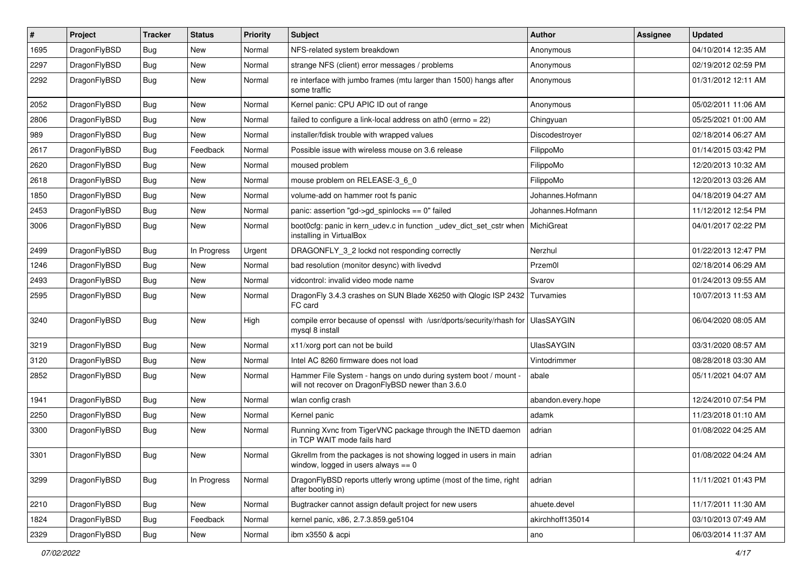| $\pmb{\#}$ | Project      | <b>Tracker</b> | <b>Status</b> | <b>Priority</b> | Subject                                                                                                              | <b>Author</b>      | <b>Assignee</b> | <b>Updated</b>      |
|------------|--------------|----------------|---------------|-----------------|----------------------------------------------------------------------------------------------------------------------|--------------------|-----------------|---------------------|
| 1695       | DragonFlyBSD | Bug            | New           | Normal          | NFS-related system breakdown                                                                                         | Anonymous          |                 | 04/10/2014 12:35 AM |
| 2297       | DragonFlyBSD | Bug            | <b>New</b>    | Normal          | strange NFS (client) error messages / problems                                                                       | Anonymous          |                 | 02/19/2012 02:59 PM |
| 2292       | DragonFlyBSD | Bug            | <b>New</b>    | Normal          | re interface with jumbo frames (mtu larger than 1500) hangs after<br>some traffic                                    | Anonymous          |                 | 01/31/2012 12:11 AM |
| 2052       | DragonFlyBSD | Bug            | <b>New</b>    | Normal          | Kernel panic: CPU APIC ID out of range                                                                               | Anonymous          |                 | 05/02/2011 11:06 AM |
| 2806       | DragonFlyBSD | <b>Bug</b>     | <b>New</b>    | Normal          | failed to configure a link-local address on ath0 (errno = 22)                                                        | Chingyuan          |                 | 05/25/2021 01:00 AM |
| 989        | DragonFlyBSD | Bug            | <b>New</b>    | Normal          | installer/fdisk trouble with wrapped values                                                                          | Discodestroyer     |                 | 02/18/2014 06:27 AM |
| 2617       | DragonFlyBSD | Bug            | Feedback      | Normal          | Possible issue with wireless mouse on 3.6 release                                                                    | FilippoMo          |                 | 01/14/2015 03:42 PM |
| 2620       | DragonFlyBSD | Bug            | New           | Normal          | moused problem                                                                                                       | FilippoMo          |                 | 12/20/2013 10:32 AM |
| 2618       | DragonFlyBSD | Bug            | <b>New</b>    | Normal          | mouse problem on RELEASE-3_6_0                                                                                       | FilippoMo          |                 | 12/20/2013 03:26 AM |
| 1850       | DragonFlyBSD | <b>Bug</b>     | <b>New</b>    | Normal          | volume-add on hammer root fs panic                                                                                   | Johannes.Hofmann   |                 | 04/18/2019 04:27 AM |
| 2453       | DragonFlyBSD | <b>Bug</b>     | New           | Normal          | panic: assertion "gd->gd_spinlocks == $0$ " failed                                                                   | Johannes.Hofmann   |                 | 11/12/2012 12:54 PM |
| 3006       | DragonFlyBSD | Bug            | <b>New</b>    | Normal          | boot0cfg: panic in kern_udev.c in function _udev_dict_set_cstr when<br>installing in VirtualBox                      | MichiGreat         |                 | 04/01/2017 02:22 PM |
| 2499       | DragonFlyBSD | Bug            | In Progress   | Urgent          | DRAGONFLY_3_2 lockd not responding correctly                                                                         | Nerzhul            |                 | 01/22/2013 12:47 PM |
| 1246       | DragonFlyBSD | Bug            | New           | Normal          | bad resolution (monitor desync) with livedvd                                                                         | Przem0l            |                 | 02/18/2014 06:29 AM |
| 2493       | DragonFlyBSD | Bug            | <b>New</b>    | Normal          | vidcontrol: invalid video mode name                                                                                  | Svarov             |                 | 01/24/2013 09:55 AM |
| 2595       | DragonFlyBSD | Bug            | New           | Normal          | DragonFly 3.4.3 crashes on SUN Blade X6250 with Qlogic ISP 2432<br>FC card                                           | Turvamies          |                 | 10/07/2013 11:53 AM |
| 3240       | DragonFlyBSD | Bug            | <b>New</b>    | High            | compile error because of openssl with /usr/dports/security/rhash for UlasSAYGIN<br>mysql 8 install                   |                    |                 | 06/04/2020 08:05 AM |
| 3219       | DragonFlyBSD | <b>Bug</b>     | New           | Normal          | x11/xorg port can not be build                                                                                       | <b>UlasSAYGIN</b>  |                 | 03/31/2020 08:57 AM |
| 3120       | DragonFlyBSD | Bug            | <b>New</b>    | Normal          | Intel AC 8260 firmware does not load                                                                                 | Vintodrimmer       |                 | 08/28/2018 03:30 AM |
| 2852       | DragonFlyBSD | Bug            | New           | Normal          | Hammer File System - hangs on undo during system boot / mount -<br>will not recover on DragonFlyBSD newer than 3.6.0 | abale              |                 | 05/11/2021 04:07 AM |
| 1941       | DragonFlyBSD | Bug            | <b>New</b>    | Normal          | wlan config crash                                                                                                    | abandon.every.hope |                 | 12/24/2010 07:54 PM |
| 2250       | DragonFlyBSD | Bug            | New           | Normal          | Kernel panic                                                                                                         | adamk              |                 | 11/23/2018 01:10 AM |
| 3300       | DragonFlyBSD | Bug            | New           | Normal          | Running Xvnc from TigerVNC package through the INETD daemon<br>in TCP WAIT mode fails hard                           | adrian             |                 | 01/08/2022 04:25 AM |
| 3301       | DragonFlyBSD | Bug            | New           | Normal          | Gkrellm from the packages is not showing logged in users in main<br>window, logged in users always $== 0$            | adrian             |                 | 01/08/2022 04:24 AM |
| 3299       | DragonFlyBSD | Bug            | In Progress   | Normal          | DragonFlyBSD reports utterly wrong uptime (most of the time, right<br>after booting in)                              | adrian             |                 | 11/11/2021 01:43 PM |
| 2210       | DragonFlyBSD | <b>Bug</b>     | <b>New</b>    | Normal          | Bugtracker cannot assign default project for new users                                                               | ahuete.devel       |                 | 11/17/2011 11:30 AM |
| 1824       | DragonFlyBSD | <b>Bug</b>     | Feedback      | Normal          | kernel panic, x86, 2.7.3.859.ge5104                                                                                  | akirchhoff135014   |                 | 03/10/2013 07:49 AM |
| 2329       | DragonFlyBSD | Bug            | New           | Normal          | ibm x3550 & acpi                                                                                                     | ano                |                 | 06/03/2014 11:37 AM |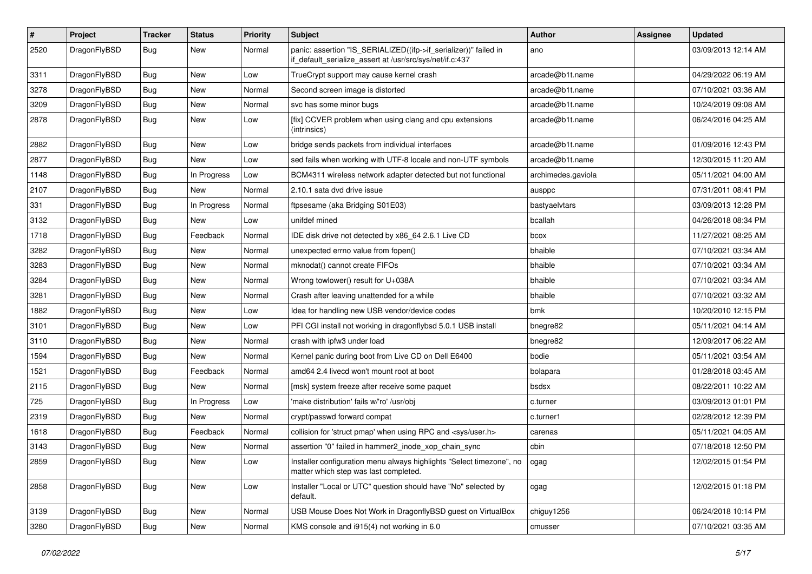| $\pmb{\#}$ | Project      | <b>Tracker</b> | <b>Status</b> | <b>Priority</b> | <b>Subject</b>                                                                                                               | <b>Author</b>      | <b>Assignee</b> | <b>Updated</b>      |
|------------|--------------|----------------|---------------|-----------------|------------------------------------------------------------------------------------------------------------------------------|--------------------|-----------------|---------------------|
| 2520       | DragonFlyBSD | Bug            | New           | Normal          | panic: assertion "IS_SERIALIZED((ifp->if_serializer))" failed in<br>if_default_serialize_assert at /usr/src/sys/net/if.c:437 | ano                |                 | 03/09/2013 12:14 AM |
| 3311       | DragonFlyBSD | <b>Bug</b>     | <b>New</b>    | Low             | TrueCrypt support may cause kernel crash                                                                                     | arcade@b1t.name    |                 | 04/29/2022 06:19 AM |
| 3278       | DragonFlyBSD | Bug            | <b>New</b>    | Normal          | Second screen image is distorted                                                                                             | arcade@b1t.name    |                 | 07/10/2021 03:36 AM |
| 3209       | DragonFlyBSD | <b>Bug</b>     | <b>New</b>    | Normal          | svc has some minor bugs                                                                                                      | arcade@b1t.name    |                 | 10/24/2019 09:08 AM |
| 2878       | DragonFlyBSD | Bug            | New           | Low             | [fix] CCVER problem when using clang and cpu extensions<br>(intrinsics)                                                      | arcade@b1t.name    |                 | 06/24/2016 04:25 AM |
| 2882       | DragonFlyBSD | <b>Bug</b>     | <b>New</b>    | Low             | bridge sends packets from individual interfaces                                                                              | arcade@b1t.name    |                 | 01/09/2016 12:43 PM |
| 2877       | DragonFlyBSD | Bug            | <b>New</b>    | Low             | sed fails when working with UTF-8 locale and non-UTF symbols                                                                 | arcade@b1t.name    |                 | 12/30/2015 11:20 AM |
| 1148       | DragonFlyBSD | Bug            | In Progress   | Low             | BCM4311 wireless network adapter detected but not functional                                                                 | archimedes.gaviola |                 | 05/11/2021 04:00 AM |
| 2107       | DragonFlyBSD | Bug            | New           | Normal          | 2.10.1 sata dvd drive issue                                                                                                  | ausppc             |                 | 07/31/2011 08:41 PM |
| 331        | DragonFlyBSD | Bug            | In Progress   | Normal          | ftpsesame (aka Bridging S01E03)                                                                                              | bastyaelvtars      |                 | 03/09/2013 12:28 PM |
| 3132       | DragonFlyBSD | Bug            | <b>New</b>    | Low             | unifdef mined                                                                                                                | bcallah            |                 | 04/26/2018 08:34 PM |
| 1718       | DragonFlyBSD | Bug            | Feedback      | Normal          | IDE disk drive not detected by x86 64 2.6.1 Live CD                                                                          | bcox               |                 | 11/27/2021 08:25 AM |
| 3282       | DragonFlyBSD | Bug            | <b>New</b>    | Normal          | unexpected errno value from fopen()                                                                                          | bhaible            |                 | 07/10/2021 03:34 AM |
| 3283       | DragonFlyBSD | Bug            | <b>New</b>    | Normal          | mknodat() cannot create FIFOs                                                                                                | bhaible            |                 | 07/10/2021 03:34 AM |
| 3284       | DragonFlyBSD | <b>Bug</b>     | <b>New</b>    | Normal          | Wrong towlower() result for U+038A                                                                                           | bhaible            |                 | 07/10/2021 03:34 AM |
| 3281       | DragonFlyBSD | Bug            | <b>New</b>    | Normal          | Crash after leaving unattended for a while                                                                                   | bhaible            |                 | 07/10/2021 03:32 AM |
| 1882       | DragonFlyBSD | Bug            | New           | Low             | Idea for handling new USB vendor/device codes                                                                                | bmk                |                 | 10/20/2010 12:15 PM |
| 3101       | DragonFlyBSD | Bug            | <b>New</b>    | Low             | PFI CGI install not working in dragonflybsd 5.0.1 USB install                                                                | bnegre82           |                 | 05/11/2021 04:14 AM |
| 3110       | DragonFlyBSD | Bug            | New           | Normal          | crash with ipfw3 under load                                                                                                  | bnegre82           |                 | 12/09/2017 06:22 AM |
| 1594       | DragonFlyBSD | <b>Bug</b>     | New           | Normal          | Kernel panic during boot from Live CD on Dell E6400                                                                          | bodie              |                 | 05/11/2021 03:54 AM |
| 1521       | DragonFlyBSD | Bug            | Feedback      | Normal          | amd64 2.4 livecd won't mount root at boot                                                                                    | bolapara           |                 | 01/28/2018 03:45 AM |
| 2115       | DragonFlyBSD | Bug            | New           | Normal          | [msk] system freeze after receive some paquet                                                                                | bsdsx              |                 | 08/22/2011 10:22 AM |
| 725        | DragonFlyBSD | Bug            | In Progress   | Low             | 'make distribution' fails w/'ro' /usr/obj                                                                                    | c.turner           |                 | 03/09/2013 01:01 PM |
| 2319       | DragonFlyBSD | Bug            | New           | Normal          | crypt/passwd forward compat                                                                                                  | c.turner1          |                 | 02/28/2012 12:39 PM |
| 1618       | DragonFlyBSD | Bug            | Feedback      | Normal          | collision for 'struct pmap' when using RPC and <sys user.h=""></sys>                                                         | carenas            |                 | 05/11/2021 04:05 AM |
| 3143       | DragonFlyBSD | Bug            | New           | Normal          | assertion "0" failed in hammer2 inode xop chain sync                                                                         | cbin               |                 | 07/18/2018 12:50 PM |
| 2859       | DragonFlyBSD | Bug            | New           | Low             | Installer configuration menu always highlights "Select timezone", no<br>matter which step was last completed.                | cgag               |                 | 12/02/2015 01:54 PM |
| 2858       | DragonFlyBSD | <b>Bug</b>     | New           | Low             | Installer "Local or UTC" question should have "No" selected by<br>default.                                                   | cgag               |                 | 12/02/2015 01:18 PM |
| 3139       | DragonFlyBSD | Bug            | New           | Normal          | USB Mouse Does Not Work in DragonflyBSD guest on VirtualBox                                                                  | chiguy1256         |                 | 06/24/2018 10:14 PM |
| 3280       | DragonFlyBSD | Bug            | New           | Normal          | KMS console and i915(4) not working in 6.0                                                                                   | cmusser            |                 | 07/10/2021 03:35 AM |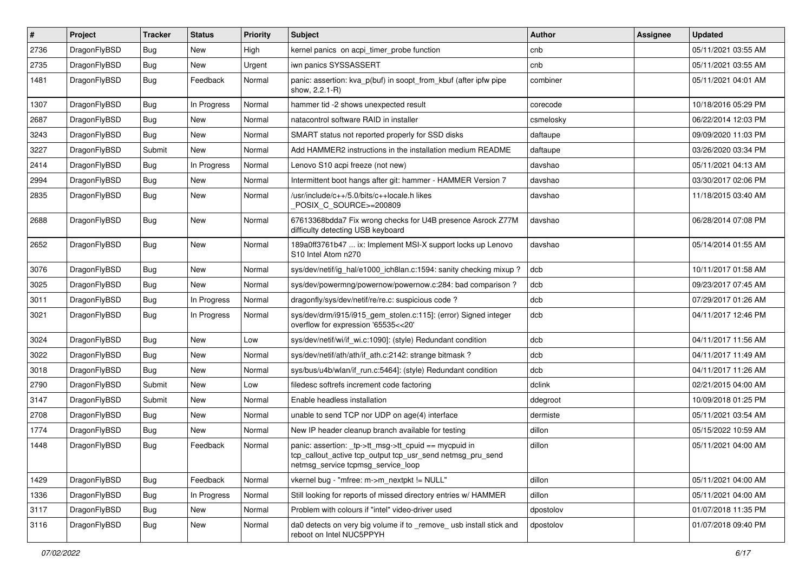| $\sharp$ | Project      | <b>Tracker</b> | <b>Status</b> | <b>Priority</b> | Subject                                                                                                                                                   | Author    | Assignee | <b>Updated</b>      |
|----------|--------------|----------------|---------------|-----------------|-----------------------------------------------------------------------------------------------------------------------------------------------------------|-----------|----------|---------------------|
| 2736     | DragonFlyBSD | Bug            | <b>New</b>    | High            | kernel panics on acpi timer probe function                                                                                                                | cnb       |          | 05/11/2021 03:55 AM |
| 2735     | DragonFlyBSD | Bug            | <b>New</b>    | Urgent          | iwn panics SYSSASSERT                                                                                                                                     | cnb       |          | 05/11/2021 03:55 AM |
| 1481     | DragonFlyBSD | <b>Bug</b>     | Feedback      | Normal          | panic: assertion: kva p(buf) in soopt from kbuf (after ipfw pipe<br>show, 2.2.1-R)                                                                        | combiner  |          | 05/11/2021 04:01 AM |
| 1307     | DragonFlyBSD | Bug            | In Progress   | Normal          | hammer tid -2 shows unexpected result                                                                                                                     | corecode  |          | 10/18/2016 05:29 PM |
| 2687     | DragonFlyBSD | Bug            | New           | Normal          | natacontrol software RAID in installer                                                                                                                    | csmelosky |          | 06/22/2014 12:03 PM |
| 3243     | DragonFlyBSD | Bug            | <b>New</b>    | Normal          | SMART status not reported properly for SSD disks                                                                                                          | daftaupe  |          | 09/09/2020 11:03 PM |
| 3227     | DragonFlyBSD | Submit         | New           | Normal          | Add HAMMER2 instructions in the installation medium README                                                                                                | daftaupe  |          | 03/26/2020 03:34 PM |
| 2414     | DragonFlyBSD | <b>Bug</b>     | In Progress   | Normal          | Lenovo S10 acpi freeze (not new)                                                                                                                          | davshao   |          | 05/11/2021 04:13 AM |
| 2994     | DragonFlyBSD | Bug            | <b>New</b>    | Normal          | Intermittent boot hangs after git: hammer - HAMMER Version 7                                                                                              | davshao   |          | 03/30/2017 02:06 PM |
| 2835     | DragonFlyBSD | <b>Bug</b>     | <b>New</b>    | Normal          | /usr/include/c++/5.0/bits/c++locale.h likes<br>POSIX_C_SOURCE>=200809                                                                                     | davshao   |          | 11/18/2015 03:40 AM |
| 2688     | DragonFlyBSD | Bug            | <b>New</b>    | Normal          | 67613368bdda7 Fix wrong checks for U4B presence Asrock Z77M<br>difficulty detecting USB keyboard                                                          | davshao   |          | 06/28/2014 07:08 PM |
| 2652     | DragonFlyBSD | Bug            | <b>New</b>    | Normal          | 189a0ff3761b47  ix: Implement MSI-X support locks up Lenovo<br>S10 Intel Atom n270                                                                        | davshao   |          | 05/14/2014 01:55 AM |
| 3076     | DragonFlyBSD | Bug            | <b>New</b>    | Normal          | sys/dev/netif/ig hal/e1000 ich8lan.c:1594: sanity checking mixup?                                                                                         | dcb       |          | 10/11/2017 01:58 AM |
| 3025     | DragonFlyBSD | <b>Bug</b>     | <b>New</b>    | Normal          | sys/dev/powermng/powernow/powernow.c:284: bad comparison?                                                                                                 | dcb       |          | 09/23/2017 07:45 AM |
| 3011     | DragonFlyBSD | <b>Bug</b>     | In Progress   | Normal          | dragonfly/sys/dev/netif/re/re.c: suspicious code?                                                                                                         | dcb       |          | 07/29/2017 01:26 AM |
| 3021     | DragonFlyBSD | <b>Bug</b>     | In Progress   | Normal          | sys/dev/drm/i915/i915_gem_stolen.c:115]: (error) Signed integer<br>overflow for expression '65535<<20'                                                    | dcb       |          | 04/11/2017 12:46 PM |
| 3024     | DragonFlyBSD | <b>Bug</b>     | New           | Low             | sys/dev/netif/wi/if wi.c:1090]: (style) Redundant condition                                                                                               | dcb       |          | 04/11/2017 11:56 AM |
| 3022     | DragonFlyBSD | <b>Bug</b>     | <b>New</b>    | Normal          | sys/dev/netif/ath/ath/if ath.c:2142: strange bitmask?                                                                                                     | dcb       |          | 04/11/2017 11:49 AM |
| 3018     | DragonFlyBSD | Bug            | New           | Normal          | sys/bus/u4b/wlan/if run.c:5464]: (style) Redundant condition                                                                                              | dcb       |          | 04/11/2017 11:26 AM |
| 2790     | DragonFlyBSD | Submit         | New           | Low             | filedesc softrefs increment code factoring                                                                                                                | dclink    |          | 02/21/2015 04:00 AM |
| 3147     | DragonFlyBSD | Submit         | <b>New</b>    | Normal          | Enable headless installation                                                                                                                              | ddegroot  |          | 10/09/2018 01:25 PM |
| 2708     | DragonFlyBSD | Bug            | New           | Normal          | unable to send TCP nor UDP on age(4) interface                                                                                                            | dermiste  |          | 05/11/2021 03:54 AM |
| 1774     | DragonFlyBSD | <b>Bug</b>     | New           | Normal          | New IP header cleanup branch available for testing                                                                                                        | dillon    |          | 05/15/2022 10:59 AM |
| 1448     | DragonFlyBSD | <b>Bug</b>     | Feedback      | Normal          | panic: assertion: _tp->tt_msg->tt_cpuid == mycpuid in<br>tcp_callout_active tcp_output tcp_usr_send netmsg_pru_send<br>netmsg_service tcpmsg_service_loop | dillon    |          | 05/11/2021 04:00 AM |
| 1429     | DragonFlyBSD | Bug            | Feedback      | Normal          | vkernel bug - "mfree: m->m_nextpkt != NULL"                                                                                                               | dillon    |          | 05/11/2021 04:00 AM |
| 1336     | DragonFlyBSD | <b>Bug</b>     | In Progress   | Normal          | Still looking for reports of missed directory entries w/ HAMMER                                                                                           | dillon    |          | 05/11/2021 04:00 AM |
| 3117     | DragonFlyBSD | Bug            | New           | Normal          | Problem with colours if "intel" video-driver used                                                                                                         | dpostolov |          | 01/07/2018 11:35 PM |
| 3116     | DragonFlyBSD | <b>Bug</b>     | New           | Normal          | da0 detects on very big volume if to _remove_ usb install stick and<br>reboot on Intel NUC5PPYH                                                           | dpostolov |          | 01/07/2018 09:40 PM |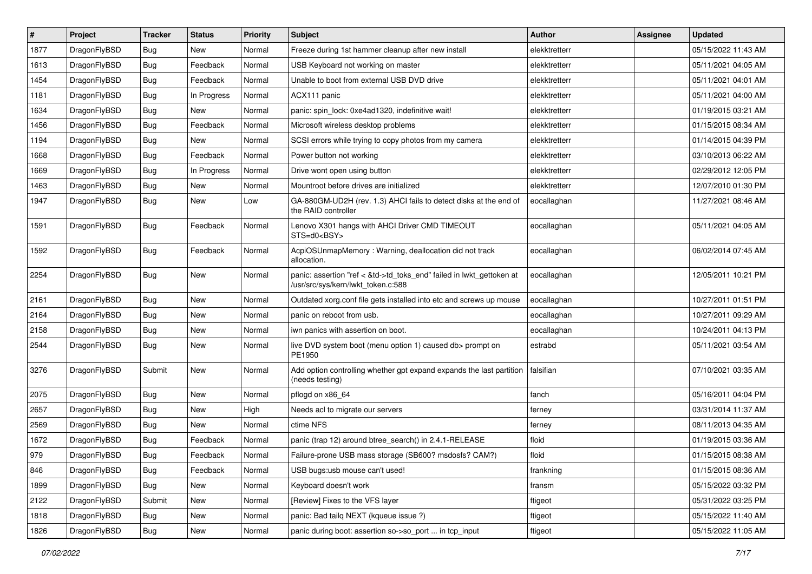| #    | Project      | <b>Tracker</b> | <b>Status</b> | <b>Priority</b> | Subject                                                                                                    | Author        | Assignee | <b>Updated</b>      |
|------|--------------|----------------|---------------|-----------------|------------------------------------------------------------------------------------------------------------|---------------|----------|---------------------|
| 1877 | DragonFlyBSD | <b>Bug</b>     | New           | Normal          | Freeze during 1st hammer cleanup after new install                                                         | elekktretterr |          | 05/15/2022 11:43 AM |
| 1613 | DragonFlyBSD | Bug            | Feedback      | Normal          | USB Keyboard not working on master                                                                         | elekktretterr |          | 05/11/2021 04:05 AM |
| 1454 | DragonFlyBSD | <b>Bug</b>     | Feedback      | Normal          | Unable to boot from external USB DVD drive                                                                 | elekktretterr |          | 05/11/2021 04:01 AM |
| 1181 | DragonFlyBSD | Bug            | In Progress   | Normal          | ACX111 panic                                                                                               | elekktretterr |          | 05/11/2021 04:00 AM |
| 1634 | DragonFlyBSD | <b>Bug</b>     | New           | Normal          | panic: spin lock: 0xe4ad1320, indefinitive wait!                                                           | elekktretterr |          | 01/19/2015 03:21 AM |
| 1456 | DragonFlyBSD | <b>Bug</b>     | Feedback      | Normal          | Microsoft wireless desktop problems                                                                        | elekktretterr |          | 01/15/2015 08:34 AM |
| 1194 | DragonFlyBSD | <b>Bug</b>     | <b>New</b>    | Normal          | SCSI errors while trying to copy photos from my camera                                                     | elekktretterr |          | 01/14/2015 04:39 PM |
| 1668 | DragonFlyBSD | <b>Bug</b>     | Feedback      | Normal          | Power button not working                                                                                   | elekktretterr |          | 03/10/2013 06:22 AM |
| 1669 | DragonFlyBSD | Bug            | In Progress   | Normal          | Drive wont open using button                                                                               | elekktretterr |          | 02/29/2012 12:05 PM |
| 1463 | DragonFlyBSD | Bug            | <b>New</b>    | Normal          | Mountroot before drives are initialized                                                                    | elekktretterr |          | 12/07/2010 01:30 PM |
| 1947 | DragonFlyBSD | Bug            | New           | Low             | GA-880GM-UD2H (rev. 1.3) AHCI fails to detect disks at the end of<br>the RAID controller                   | eocallaghan   |          | 11/27/2021 08:46 AM |
| 1591 | DragonFlyBSD | Bug            | Feedback      | Normal          | Lenovo X301 hangs with AHCI Driver CMD TIMEOUT<br>STS=d0 <bsy></bsy>                                       | eocallaghan   |          | 05/11/2021 04:05 AM |
| 1592 | DragonFlyBSD | Bug            | Feedback      | Normal          | AcpiOSUnmapMemory: Warning, deallocation did not track<br>allocation.                                      | eocallaghan   |          | 06/02/2014 07:45 AM |
| 2254 | DragonFlyBSD | Bug            | <b>New</b>    | Normal          | panic: assertion "ref < &td->td_toks_end" failed in lwkt_gettoken at<br>/usr/src/sys/kern/lwkt_token.c:588 | eocallaghan   |          | 12/05/2011 10:21 PM |
| 2161 | DragonFlyBSD | Bug            | <b>New</b>    | Normal          | Outdated xorg.conf file gets installed into etc and screws up mouse                                        | eocallaghan   |          | 10/27/2011 01:51 PM |
| 2164 | DragonFlyBSD | <b>Bug</b>     | <b>New</b>    | Normal          | panic on reboot from usb.                                                                                  | eocallaghan   |          | 10/27/2011 09:29 AM |
| 2158 | DragonFlyBSD | <b>Bug</b>     | <b>New</b>    | Normal          | iwn panics with assertion on boot.                                                                         | eocallaghan   |          | 10/24/2011 04:13 PM |
| 2544 | DragonFlyBSD | <b>Bug</b>     | New           | Normal          | live DVD system boot (menu option 1) caused db> prompt on<br>PE1950                                        | estrabd       |          | 05/11/2021 03:54 AM |
| 3276 | DragonFlyBSD | Submit         | New           | Normal          | Add option controlling whether gpt expand expands the last partition<br>(needs testing)                    | falsifian     |          | 07/10/2021 03:35 AM |
| 2075 | DragonFlyBSD | Bug            | <b>New</b>    | Normal          | pflogd on x86 64                                                                                           | fanch         |          | 05/16/2011 04:04 PM |
| 2657 | DragonFlyBSD | <b>Bug</b>     | <b>New</b>    | High            | Needs acl to migrate our servers                                                                           | terney        |          | 03/31/2014 11:37 AM |
| 2569 | DragonFlyBSD | Bug            | New           | Normal          | ctime NFS                                                                                                  | ferney        |          | 08/11/2013 04:35 AM |
| 1672 | DragonFlyBSD | <b>Bug</b>     | Feedback      | Normal          | panic (trap 12) around btree_search() in 2.4.1-RELEASE                                                     | floid         |          | 01/19/2015 03:36 AM |
| 979  | DragonFlyBSD | Bug            | Feedback      | Normal          | Failure-prone USB mass storage (SB600? msdosfs? CAM?)                                                      | floid         |          | 01/15/2015 08:38 AM |
| 846  | DragonFlyBSD | Bug            | Feedback      | Normal          | USB bugs:usb mouse can't used!                                                                             | frankning     |          | 01/15/2015 08:36 AM |
| 1899 | DragonFlyBSD | <b>Bug</b>     | New           | Normal          | Keyboard doesn't work                                                                                      | fransm        |          | 05/15/2022 03:32 PM |
| 2122 | DragonFlyBSD | Submit         | New           | Normal          | [Review] Fixes to the VFS layer                                                                            | ftigeot       |          | 05/31/2022 03:25 PM |
| 1818 | DragonFlyBSD | Bug            | New           | Normal          | panic: Bad tailq NEXT (kqueue issue ?)                                                                     | ftigeot       |          | 05/15/2022 11:40 AM |
| 1826 | DragonFlyBSD | Bug            | New           | Normal          | panic during boot: assertion so->so port  in tcp input                                                     | ftigeot       |          | 05/15/2022 11:05 AM |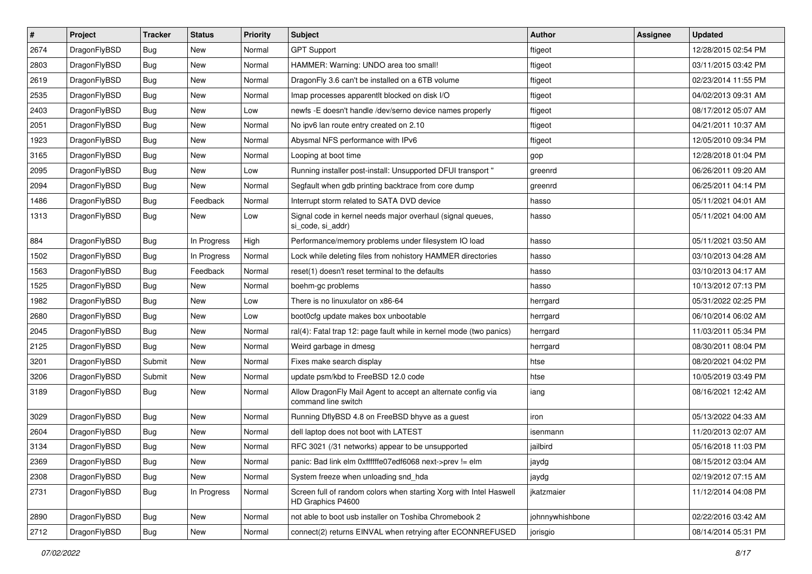| $\sharp$ | Project      | <b>Tracker</b> | <b>Status</b> | <b>Priority</b> | Subject                                                                                 | <b>Author</b>   | <b>Assignee</b> | <b>Updated</b>      |
|----------|--------------|----------------|---------------|-----------------|-----------------------------------------------------------------------------------------|-----------------|-----------------|---------------------|
| 2674     | DragonFlyBSD | Bug            | New           | Normal          | <b>GPT Support</b>                                                                      | ftigeot         |                 | 12/28/2015 02:54 PM |
| 2803     | DragonFlyBSD | Bug            | New           | Normal          | HAMMER: Warning: UNDO area too small!                                                   | ftigeot         |                 | 03/11/2015 03:42 PM |
| 2619     | DragonFlyBSD | <b>Bug</b>     | New           | Normal          | DragonFly 3.6 can't be installed on a 6TB volume                                        | ftigeot         |                 | 02/23/2014 11:55 PM |
| 2535     | DragonFlyBSD | <b>Bug</b>     | New           | Normal          | Imap processes apparentlt blocked on disk I/O                                           | ftigeot         |                 | 04/02/2013 09:31 AM |
| 2403     | DragonFlyBSD | Bug            | <b>New</b>    | Low             | newfs - E doesn't handle /dev/serno device names properly                               | ftigeot         |                 | 08/17/2012 05:07 AM |
| 2051     | DragonFlyBSD | Bug            | <b>New</b>    | Normal          | No ipv6 lan route entry created on 2.10                                                 | ftigeot         |                 | 04/21/2011 10:37 AM |
| 1923     | DragonFlyBSD | Bug            | New           | Normal          | Abysmal NFS performance with IPv6                                                       | ftigeot         |                 | 12/05/2010 09:34 PM |
| 3165     | DragonFlyBSD | <b>Bug</b>     | <b>New</b>    | Normal          | Looping at boot time                                                                    | gop             |                 | 12/28/2018 01:04 PM |
| 2095     | DragonFlyBSD | <b>Bug</b>     | <b>New</b>    | Low             | Running installer post-install: Unsupported DFUI transport "                            | greenrd         |                 | 06/26/2011 09:20 AM |
| 2094     | DragonFlyBSD | Bug            | New           | Normal          | Segfault when gdb printing backtrace from core dump                                     | greenrd         |                 | 06/25/2011 04:14 PM |
| 1486     | DragonFlyBSD | <b>Bug</b>     | Feedback      | Normal          | Interrupt storm related to SATA DVD device                                              | hasso           |                 | 05/11/2021 04:01 AM |
| 1313     | DragonFlyBSD | Bug            | <b>New</b>    | Low             | Signal code in kernel needs major overhaul (signal queues,<br>si code, si addr)         | hasso           |                 | 05/11/2021 04:00 AM |
| 884      | DragonFlyBSD | Bug            | In Progress   | High            | Performance/memory problems under filesystem IO load                                    | hasso           |                 | 05/11/2021 03:50 AM |
| 1502     | DragonFlyBSD | Bug            | In Progress   | Normal          | Lock while deleting files from nohistory HAMMER directories                             | hasso           |                 | 03/10/2013 04:28 AM |
| 1563     | DragonFlyBSD | <b>Bug</b>     | Feedback      | Normal          | reset(1) doesn't reset terminal to the defaults                                         | hasso           |                 | 03/10/2013 04:17 AM |
| 1525     | DragonFlyBSD | Bug            | <b>New</b>    | Normal          | boehm-gc problems                                                                       | hasso           |                 | 10/13/2012 07:13 PM |
| 1982     | DragonFlyBSD | Bug            | <b>New</b>    | Low             | There is no linuxulator on x86-64                                                       | herrgard        |                 | 05/31/2022 02:25 PM |
| 2680     | DragonFlyBSD | Bug            | New           | Low             | boot0cfg update makes box unbootable                                                    | herrgard        |                 | 06/10/2014 06:02 AM |
| 2045     | DragonFlyBSD | Bug            | New           | Normal          | ral(4): Fatal trap 12: page fault while in kernel mode (two panics)                     | herrgard        |                 | 11/03/2011 05:34 PM |
| 2125     | DragonFlyBSD | <b>Bug</b>     | New           | Normal          | Weird garbage in dmesg                                                                  | herrgard        |                 | 08/30/2011 08:04 PM |
| 3201     | DragonFlyBSD | Submit         | New           | Normal          | Fixes make search display                                                               | htse            |                 | 08/20/2021 04:02 PM |
| 3206     | DragonFlyBSD | Submit         | New           | Normal          | update psm/kbd to FreeBSD 12.0 code                                                     | htse            |                 | 10/05/2019 03:49 PM |
| 3189     | DragonFlyBSD | <b>Bug</b>     | New           | Normal          | Allow DragonFly Mail Agent to accept an alternate config via<br>command line switch     | iang            |                 | 08/16/2021 12:42 AM |
| 3029     | DragonFlyBSD | Bug            | <b>New</b>    | Normal          | Running DflyBSD 4.8 on FreeBSD bhyve as a guest                                         | iron            |                 | 05/13/2022 04:33 AM |
| 2604     | DragonFlyBSD | Bug            | <b>New</b>    | Normal          | dell laptop does not boot with LATEST                                                   | isenmann        |                 | 11/20/2013 02:07 AM |
| 3134     | DragonFlyBSD | Bug            | New           | Normal          | RFC 3021 (/31 networks) appear to be unsupported                                        | jailbird        |                 | 05/16/2018 11:03 PM |
| 2369     | DragonFlyBSD | <b>Bug</b>     | New           | Normal          | panic: Bad link elm 0xffffffe07edf6068 next->prev != elm                                | jaydg           |                 | 08/15/2012 03:04 AM |
| 2308     | DragonFlyBSD | <b>Bug</b>     | New           | Normal          | System freeze when unloading snd_hda                                                    | jaydg           |                 | 02/19/2012 07:15 AM |
| 2731     | DragonFlyBSD | <b>Bug</b>     | In Progress   | Normal          | Screen full of random colors when starting Xorg with Intel Haswell<br>HD Graphics P4600 | jkatzmaier      |                 | 11/12/2014 04:08 PM |
| 2890     | DragonFlyBSD | Bug            | New           | Normal          | not able to boot usb installer on Toshiba Chromebook 2                                  | johnnywhishbone |                 | 02/22/2016 03:42 AM |
| 2712     | DragonFlyBSD | <b>Bug</b>     | New           | Normal          | connect(2) returns EINVAL when retrying after ECONNREFUSED                              | jorisgio        |                 | 08/14/2014 05:31 PM |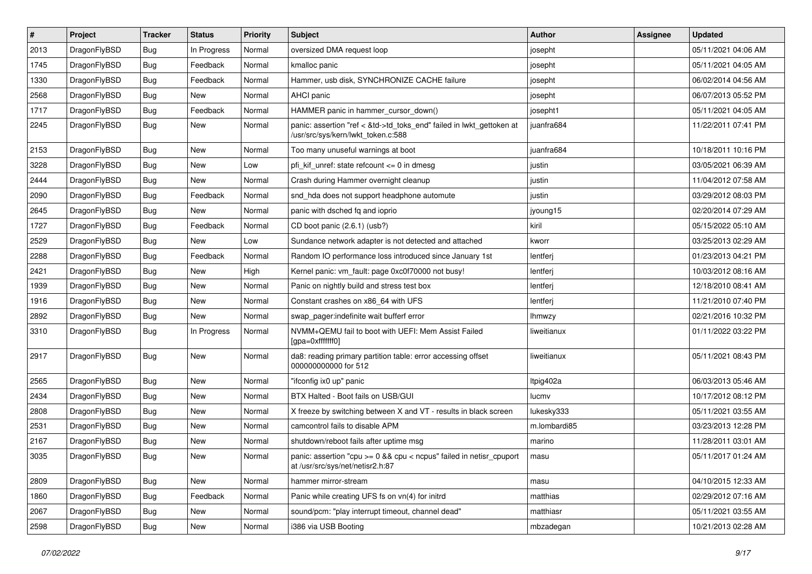| $\sharp$ | Project      | <b>Tracker</b> | <b>Status</b> | <b>Priority</b> | Subject                                                                                                    | <b>Author</b> | Assignee | <b>Updated</b>      |
|----------|--------------|----------------|---------------|-----------------|------------------------------------------------------------------------------------------------------------|---------------|----------|---------------------|
| 2013     | DragonFlyBSD | <b>Bug</b>     | In Progress   | Normal          | oversized DMA request loop                                                                                 | josepht       |          | 05/11/2021 04:06 AM |
| 1745     | DragonFlyBSD | Bug            | Feedback      | Normal          | kmalloc panic                                                                                              | josepht       |          | 05/11/2021 04:05 AM |
| 1330     | DragonFlyBSD | <b>Bug</b>     | Feedback      | Normal          | Hammer, usb disk, SYNCHRONIZE CACHE failure                                                                | josepht       |          | 06/02/2014 04:56 AM |
| 2568     | DragonFlyBSD | Bug            | New           | Normal          | AHCI panic                                                                                                 | josepht       |          | 06/07/2013 05:52 PM |
| 1717     | DragonFlyBSD | Bug            | Feedback      | Normal          | HAMMER panic in hammer cursor down()                                                                       | josepht1      |          | 05/11/2021 04:05 AM |
| 2245     | DragonFlyBSD | Bug            | New           | Normal          | panic: assertion "ref < &td->td_toks_end" failed in lwkt_gettoken at<br>/usr/src/sys/kern/lwkt_token.c:588 | juanfra684    |          | 11/22/2011 07:41 PM |
| 2153     | DragonFlyBSD | Bug            | <b>New</b>    | Normal          | Too many unuseful warnings at boot                                                                         | juanfra684    |          | 10/18/2011 10:16 PM |
| 3228     | DragonFlyBSD | Bug            | New           | Low             | pfi_kif_unref: state refcount <= 0 in dmesg                                                                | justin        |          | 03/05/2021 06:39 AM |
| 2444     | DragonFlyBSD | Bug            | <b>New</b>    | Normal          | Crash during Hammer overnight cleanup                                                                      | justin        |          | 11/04/2012 07:58 AM |
| 2090     | DragonFlyBSD | Bug            | Feedback      | Normal          | snd hda does not support headphone automute                                                                | justin        |          | 03/29/2012 08:03 PM |
| 2645     | DragonFlyBSD | Bug            | New           | Normal          | panic with dsched fq and ioprio                                                                            | jyoung15      |          | 02/20/2014 07:29 AM |
| 1727     | DragonFlyBSD | Bug            | Feedback      | Normal          | CD boot panic (2.6.1) (usb?)                                                                               | kiril         |          | 05/15/2022 05:10 AM |
| 2529     | DragonFlyBSD | Bug            | New           | Low             | Sundance network adapter is not detected and attached                                                      | kworr         |          | 03/25/2013 02:29 AM |
| 2288     | DragonFlyBSD | Bug            | Feedback      | Normal          | Random IO performance loss introduced since January 1st                                                    | lentferj      |          | 01/23/2013 04:21 PM |
| 2421     | DragonFlyBSD | Bug            | New           | High            | Kernel panic: vm fault: page 0xc0f70000 not busy!                                                          | lentferj      |          | 10/03/2012 08:16 AM |
| 1939     | DragonFlyBSD | Bug            | New           | Normal          | Panic on nightly build and stress test box                                                                 | lentferj      |          | 12/18/2010 08:41 AM |
| 1916     | DragonFlyBSD | Bug            | New           | Normal          | Constant crashes on x86_64 with UFS                                                                        | lentferj      |          | 11/21/2010 07:40 PM |
| 2892     | DragonFlyBSD | Bug            | New           | Normal          | swap pager:indefinite wait bufferf error                                                                   | <b>Ihmwzy</b> |          | 02/21/2016 10:32 PM |
| 3310     | DragonFlyBSD | Bug            | In Progress   | Normal          | NVMM+QEMU fail to boot with UEFI: Mem Assist Failed<br>[gpa=0xfffffff0]                                    | liweitianux   |          | 01/11/2022 03:22 PM |
| 2917     | DragonFlyBSD | Bug            | New           | Normal          | da8: reading primary partition table: error accessing offset<br>000000000000 for 512                       | liweitianux   |          | 05/11/2021 08:43 PM |
| 2565     | DragonFlyBSD | Bug            | <b>New</b>    | Normal          | "ifconfig ix0 up" panic                                                                                    | Itpig402a     |          | 06/03/2013 05:46 AM |
| 2434     | DragonFlyBSD | Bug            | New           | Normal          | BTX Halted - Boot fails on USB/GUI                                                                         | lucmv         |          | 10/17/2012 08:12 PM |
| 2808     | DragonFlyBSD | Bug            | <b>New</b>    | Normal          | X freeze by switching between X and VT - results in black screen                                           | lukesky333    |          | 05/11/2021 03:55 AM |
| 2531     | DragonFlyBSD | Bug            | <b>New</b>    | Normal          | camcontrol fails to disable APM                                                                            | m.lombardi85  |          | 03/23/2013 12:28 PM |
| 2167     | DragonFlyBSD | Bug            | New           | Normal          | shutdown/reboot fails after uptime msg                                                                     | marino        |          | 11/28/2011 03:01 AM |
| 3035     | DragonFlyBSD | Bug            | <b>New</b>    | Normal          | panic: assertion "cpu >= 0 && cpu < ncpus" failed in netisr_cpuport<br>at /usr/src/sys/net/netisr2.h:87    | masu          |          | 05/11/2017 01:24 AM |
| 2809     | DragonFlyBSD | <b>Bug</b>     | New           | Normal          | hammer mirror-stream                                                                                       | masu          |          | 04/10/2015 12:33 AM |
| 1860     | DragonFlyBSD | <b>Bug</b>     | Feedback      | Normal          | Panic while creating UFS fs on vn(4) for initrd                                                            | matthias      |          | 02/29/2012 07:16 AM |
| 2067     | DragonFlyBSD | Bug            | New           | Normal          | sound/pcm: "play interrupt timeout, channel dead"                                                          | matthiasr     |          | 05/11/2021 03:55 AM |
| 2598     | DragonFlyBSD | <b>Bug</b>     | New           | Normal          | i386 via USB Booting                                                                                       | mbzadegan     |          | 10/21/2013 02:28 AM |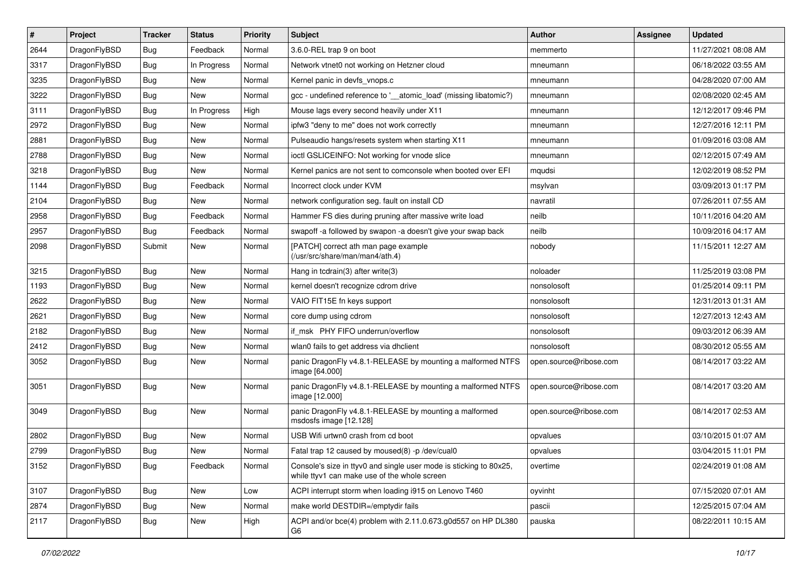| $\pmb{\#}$ | Project      | <b>Tracker</b> | <b>Status</b> | Priority | Subject                                                                                                            | <b>Author</b>          | <b>Assignee</b> | <b>Updated</b>      |
|------------|--------------|----------------|---------------|----------|--------------------------------------------------------------------------------------------------------------------|------------------------|-----------------|---------------------|
| 2644       | DragonFlyBSD | Bug            | Feedback      | Normal   | 3.6.0-REL trap 9 on boot                                                                                           | memmerto               |                 | 11/27/2021 08:08 AM |
| 3317       | DragonFlyBSD | Bug            | In Progress   | Normal   | Network vtnet0 not working on Hetzner cloud                                                                        | mneumann               |                 | 06/18/2022 03:55 AM |
| 3235       | DragonFlyBSD | Bug            | <b>New</b>    | Normal   | Kernel panic in devfs vnops.c                                                                                      | mneumann               |                 | 04/28/2020 07:00 AM |
| 3222       | DragonFlyBSD | Bug            | <b>New</b>    | Normal   | gcc - undefined reference to '__atomic_load' (missing libatomic?)                                                  | mneumann               |                 | 02/08/2020 02:45 AM |
| 3111       | DragonFlyBSD | Bug            | In Progress   | High     | Mouse lags every second heavily under X11                                                                          | mneumann               |                 | 12/12/2017 09:46 PM |
| 2972       | DragonFlyBSD | Bug            | <b>New</b>    | Normal   | ipfw3 "deny to me" does not work correctly                                                                         | mneumann               |                 | 12/27/2016 12:11 PM |
| 2881       | DragonFlyBSD | Bug            | <b>New</b>    | Normal   | Pulseaudio hangs/resets system when starting X11                                                                   | mneumann               |                 | 01/09/2016 03:08 AM |
| 2788       | DragonFlyBSD | Bug            | New           | Normal   | ioctl GSLICEINFO: Not working for vnode slice                                                                      | mneumann               |                 | 02/12/2015 07:49 AM |
| 3218       | DragonFlyBSD | Bug            | <b>New</b>    | Normal   | Kernel panics are not sent to comconsole when booted over EFI                                                      | mqudsi                 |                 | 12/02/2019 08:52 PM |
| 1144       | DragonFlyBSD | Bug            | Feedback      | Normal   | Incorrect clock under KVM                                                                                          | msylvan                |                 | 03/09/2013 01:17 PM |
| 2104       | DragonFlyBSD | Bug            | <b>New</b>    | Normal   | network configuration seg. fault on install CD                                                                     | navratil               |                 | 07/26/2011 07:55 AM |
| 2958       | DragonFlyBSD | Bug            | Feedback      | Normal   | Hammer FS dies during pruning after massive write load                                                             | neilb                  |                 | 10/11/2016 04:20 AM |
| 2957       | DragonFlyBSD | Bug            | Feedback      | Normal   | swapoff -a followed by swapon -a doesn't give your swap back                                                       | neilb                  |                 | 10/09/2016 04:17 AM |
| 2098       | DragonFlyBSD | Submit         | <b>New</b>    | Normal   | [PATCH] correct ath man page example<br>(/usr/src/share/man/man4/ath.4)                                            | nobody                 |                 | 11/15/2011 12:27 AM |
| 3215       | DragonFlyBSD | Bug            | <b>New</b>    | Normal   | Hang in tcdrain(3) after write(3)                                                                                  | noloader               |                 | 11/25/2019 03:08 PM |
| 1193       | DragonFlyBSD | Bug            | <b>New</b>    | Normal   | kernel doesn't recognize cdrom drive                                                                               | nonsolosoft            |                 | 01/25/2014 09:11 PM |
| 2622       | DragonFlyBSD | Bug            | New           | Normal   | VAIO FIT15E fn keys support                                                                                        | nonsolosoft            |                 | 12/31/2013 01:31 AM |
| 2621       | DragonFlyBSD | Bug            | <b>New</b>    | Normal   | core dump using cdrom                                                                                              | nonsolosoft            |                 | 12/27/2013 12:43 AM |
| 2182       | DragonFlyBSD | Bug            | <b>New</b>    | Normal   | if msk PHY FIFO underrun/overflow                                                                                  | nonsolosoft            |                 | 09/03/2012 06:39 AM |
| 2412       | DragonFlyBSD | Bug            | New           | Normal   | wlan0 fails to get address via dhclient                                                                            | nonsolosoft            |                 | 08/30/2012 05:55 AM |
| 3052       | DragonFlyBSD | Bug            | New           | Normal   | panic DragonFly v4.8.1-RELEASE by mounting a malformed NTFS<br>image [64.000]                                      | open.source@ribose.com |                 | 08/14/2017 03:22 AM |
| 3051       | DragonFlyBSD | Bug            | New           | Normal   | panic DragonFly v4.8.1-RELEASE by mounting a malformed NTFS<br>image [12.000]                                      | open.source@ribose.com |                 | 08/14/2017 03:20 AM |
| 3049       | DragonFlyBSD | Bug            | New           | Normal   | panic DragonFly v4.8.1-RELEASE by mounting a malformed<br>msdosfs image [12.128]                                   | open.source@ribose.com |                 | 08/14/2017 02:53 AM |
| 2802       | DragonFlyBSD | Bug            | New           | Normal   | USB Wifi urtwn0 crash from cd boot                                                                                 | opvalues               |                 | 03/10/2015 01:07 AM |
| 2799       | DragonFlyBSD | Bug            | <b>New</b>    | Normal   | Fatal trap 12 caused by moused(8) -p /dev/cual0                                                                    | opvalues               |                 | 03/04/2015 11:01 PM |
| 3152       | DragonFlyBSD | <b>Bug</b>     | Feedback      | Normal   | Console's size in ttyv0 and single user mode is sticking to 80x25,<br>while ttyv1 can make use of the whole screen | overtime               |                 | 02/24/2019 01:08 AM |
| 3107       | DragonFlyBSD | <b>Bug</b>     | New           | Low      | ACPI interrupt storm when loading i915 on Lenovo T460                                                              | oyvinht                |                 | 07/15/2020 07:01 AM |
| 2874       | DragonFlyBSD | <b>Bug</b>     | New           | Normal   | make world DESTDIR=/emptydir fails                                                                                 | pascii                 |                 | 12/25/2015 07:04 AM |
| 2117       | DragonFlyBSD | <b>Bug</b>     | New           | High     | ACPI and/or bce(4) problem with 2.11.0.673.g0d557 on HP DL380<br>G6                                                | pauska                 |                 | 08/22/2011 10:15 AM |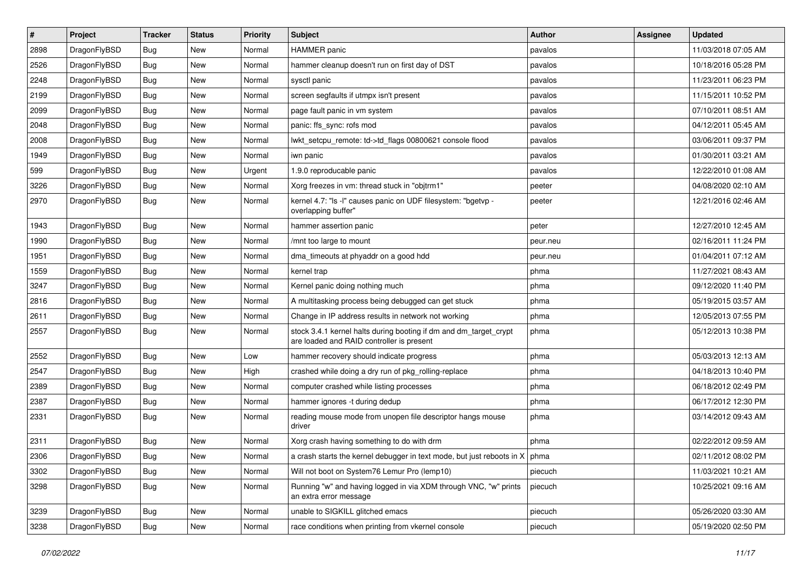| $\sharp$ | Project      | <b>Tracker</b> | <b>Status</b> | <b>Priority</b> | Subject                                                                                                        | Author   | <b>Assignee</b> | <b>Updated</b>      |
|----------|--------------|----------------|---------------|-----------------|----------------------------------------------------------------------------------------------------------------|----------|-----------------|---------------------|
| 2898     | DragonFlyBSD | Bug            | New           | Normal          | <b>HAMMER</b> panic                                                                                            | pavalos  |                 | 11/03/2018 07:05 AM |
| 2526     | DragonFlyBSD | Bug            | New           | Normal          | hammer cleanup doesn't run on first day of DST                                                                 | pavalos  |                 | 10/18/2016 05:28 PM |
| 2248     | DragonFlyBSD | <b>Bug</b>     | New           | Normal          | sysctl panic                                                                                                   | pavalos  |                 | 11/23/2011 06:23 PM |
| 2199     | DragonFlyBSD | <b>Bug</b>     | <b>New</b>    | Normal          | screen segfaults if utmpx isn't present                                                                        | pavalos  |                 | 11/15/2011 10:52 PM |
| 2099     | DragonFlyBSD | Bug            | <b>New</b>    | Normal          | page fault panic in vm system                                                                                  | pavalos  |                 | 07/10/2011 08:51 AM |
| 2048     | DragonFlyBSD | <b>Bug</b>     | <b>New</b>    | Normal          | panic: ffs_sync: rofs mod                                                                                      | pavalos  |                 | 04/12/2011 05:45 AM |
| 2008     | DragonFlyBSD | <b>Bug</b>     | New           | Normal          | lwkt_setcpu_remote: td->td_flags 00800621 console flood                                                        | pavalos  |                 | 03/06/2011 09:37 PM |
| 1949     | DragonFlyBSD | <b>Bug</b>     | <b>New</b>    | Normal          | iwn panic                                                                                                      | pavalos  |                 | 01/30/2011 03:21 AM |
| 599      | DragonFlyBSD | <b>Bug</b>     | New           | Urgent          | 1.9.0 reproducable panic                                                                                       | pavalos  |                 | 12/22/2010 01:08 AM |
| 3226     | DragonFlyBSD | Bug            | New           | Normal          | Xorg freezes in vm: thread stuck in "objtrm1"                                                                  | peeter   |                 | 04/08/2020 02:10 AM |
| 2970     | DragonFlyBSD | <b>Bug</b>     | New           | Normal          | kernel 4.7: "Is -I" causes panic on UDF filesystem: "bgetvp -<br>overlapping buffer"                           | peeter   |                 | 12/21/2016 02:46 AM |
| 1943     | DragonFlyBSD | Bug            | <b>New</b>    | Normal          | hammer assertion panic                                                                                         | peter    |                 | 12/27/2010 12:45 AM |
| 1990     | DragonFlyBSD | <b>Bug</b>     | <b>New</b>    | Normal          | /mnt too large to mount                                                                                        | peur.neu |                 | 02/16/2011 11:24 PM |
| 1951     | DragonFlyBSD | <b>Bug</b>     | New           | Normal          | dma_timeouts at phyaddr on a good hdd                                                                          | peur.neu |                 | 01/04/2011 07:12 AM |
| 1559     | DragonFlyBSD | <b>Bug</b>     | New           | Normal          | kernel trap                                                                                                    | phma     |                 | 11/27/2021 08:43 AM |
| 3247     | DragonFlyBSD | <b>Bug</b>     | <b>New</b>    | Normal          | Kernel panic doing nothing much                                                                                | phma     |                 | 09/12/2020 11:40 PM |
| 2816     | DragonFlyBSD | <b>Bug</b>     | New           | Normal          | A multitasking process being debugged can get stuck                                                            | phma     |                 | 05/19/2015 03:57 AM |
| 2611     | DragonFlyBSD | <b>Bug</b>     | New           | Normal          | Change in IP address results in network not working                                                            | phma     |                 | 12/05/2013 07:55 PM |
| 2557     | DragonFlyBSD | <b>Bug</b>     | New           | Normal          | stock 3.4.1 kernel halts during booting if dm and dm_target_crypt<br>are loaded and RAID controller is present | phma     |                 | 05/12/2013 10:38 PM |
| 2552     | DragonFlyBSD | Bug            | New           | Low             | hammer recovery should indicate progress                                                                       | phma     |                 | 05/03/2013 12:13 AM |
| 2547     | DragonFlyBSD | Bug            | New           | High            | crashed while doing a dry run of pkg_rolling-replace                                                           | phma     |                 | 04/18/2013 10:40 PM |
| 2389     | DragonFlyBSD | <b>Bug</b>     | New           | Normal          | computer crashed while listing processes                                                                       | phma     |                 | 06/18/2012 02:49 PM |
| 2387     | DragonFlyBSD | <b>Bug</b>     | <b>New</b>    | Normal          | hammer ignores -t during dedup                                                                                 | phma     |                 | 06/17/2012 12:30 PM |
| 2331     | DragonFlyBSD | Bug            | New           | Normal          | reading mouse mode from unopen file descriptor hangs mouse<br>driver                                           | phma     |                 | 03/14/2012 09:43 AM |
| 2311     | DragonFlyBSD | Bug            | New           | Normal          | Xorg crash having something to do with drm                                                                     | phma     |                 | 02/22/2012 09:59 AM |
| 2306     | DragonFlyBSD | Bug            | <b>New</b>    | Normal          | a crash starts the kernel debugger in text mode, but just reboots in $X \mid p$ hma                            |          |                 | 02/11/2012 08:02 PM |
| 3302     | DragonFlyBSD | <b>Bug</b>     | <b>New</b>    | Normal          | Will not boot on System76 Lemur Pro (lemp10)                                                                   | piecuch  |                 | 11/03/2021 10:21 AM |
| 3298     | DragonFlyBSD | Bug            | <b>New</b>    | Normal          | Running "w" and having logged in via XDM through VNC, "w" prints<br>an extra error message                     | piecuch  |                 | 10/25/2021 09:16 AM |
| 3239     | DragonFlyBSD | <b>Bug</b>     | New           | Normal          | unable to SIGKILL glitched emacs                                                                               | piecuch  |                 | 05/26/2020 03:30 AM |
| 3238     | DragonFlyBSD | <b>Bug</b>     | New           | Normal          | race conditions when printing from vkernel console                                                             | piecuch  |                 | 05/19/2020 02:50 PM |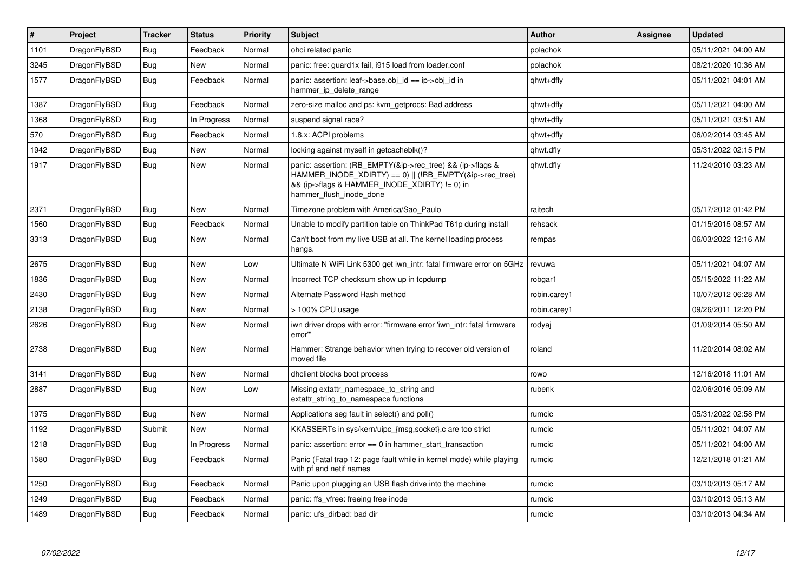| $\vert$ # | Project      | <b>Tracker</b> | <b>Status</b> | <b>Priority</b> | <b>Subject</b>                                                                                                                                                                                    | <b>Author</b> | Assignee | <b>Updated</b>      |
|-----------|--------------|----------------|---------------|-----------------|---------------------------------------------------------------------------------------------------------------------------------------------------------------------------------------------------|---------------|----------|---------------------|
| 1101      | DragonFlyBSD | <b>Bug</b>     | Feedback      | Normal          | ohci related panic                                                                                                                                                                                | polachok      |          | 05/11/2021 04:00 AM |
| 3245      | DragonFlyBSD | <b>Bug</b>     | New           | Normal          | panic: free: guard1x fail, i915 load from loader.conf                                                                                                                                             | polachok      |          | 08/21/2020 10:36 AM |
| 1577      | DragonFlyBSD | <b>Bug</b>     | Feedback      | Normal          | panic: assertion: leaf->base.obj_id == ip->obj_id in<br>hammer_ip_delete_range                                                                                                                    | qhwt+dfly     |          | 05/11/2021 04:01 AM |
| 1387      | DragonFlyBSD | <b>Bug</b>     | Feedback      | Normal          | zero-size malloc and ps: kvm_getprocs: Bad address                                                                                                                                                | qhwt+dfly     |          | 05/11/2021 04:00 AM |
| 1368      | DragonFlyBSD | Bug            | In Progress   | Normal          | suspend signal race?                                                                                                                                                                              | qhwt+dfly     |          | 05/11/2021 03:51 AM |
| 570       | DragonFlyBSD | <b>Bug</b>     | Feedback      | Normal          | 1.8.x: ACPI problems                                                                                                                                                                              | qhwt+dfly     |          | 06/02/2014 03:45 AM |
| 1942      | DragonFlyBSD | Bug            | <b>New</b>    | Normal          | locking against myself in getcacheblk()?                                                                                                                                                          | qhwt.dfly     |          | 05/31/2022 02:15 PM |
| 1917      | DragonFlyBSD | <b>Bug</b>     | <b>New</b>    | Normal          | panic: assertion: (RB_EMPTY(&ip->rec_tree) && (ip->flags &<br>HAMMER_INODE_XDIRTY) == 0)    (!RB_EMPTY(&ip->rec_tree)<br>&& (ip->flags & HAMMER INODE XDIRTY) != 0) in<br>hammer flush inode done | qhwt.dfly     |          | 11/24/2010 03:23 AM |
| 2371      | DragonFlyBSD | <b>Bug</b>     | <b>New</b>    | Normal          | Timezone problem with America/Sao Paulo                                                                                                                                                           | raitech       |          | 05/17/2012 01:42 PM |
| 1560      | DragonFlyBSD | Bug            | Feedback      | Normal          | Unable to modify partition table on ThinkPad T61p during install                                                                                                                                  | rehsack       |          | 01/15/2015 08:57 AM |
| 3313      | DragonFlyBSD | <b>Bug</b>     | New           | Normal          | Can't boot from my live USB at all. The kernel loading process<br>hangs.                                                                                                                          | rempas        |          | 06/03/2022 12:16 AM |
| 2675      | DragonFlyBSD | <b>Bug</b>     | <b>New</b>    | Low             | Ultimate N WiFi Link 5300 get iwn_intr: fatal firmware error on 5GHz                                                                                                                              | revuwa        |          | 05/11/2021 04:07 AM |
| 1836      | DragonFlyBSD | <b>Bug</b>     | <b>New</b>    | Normal          | Incorrect TCP checksum show up in tcpdump                                                                                                                                                         | robgar1       |          | 05/15/2022 11:22 AM |
| 2430      | DragonFlyBSD | <b>Bug</b>     | <b>New</b>    | Normal          | Alternate Password Hash method                                                                                                                                                                    | robin.carey1  |          | 10/07/2012 06:28 AM |
| 2138      | DragonFlyBSD | Bug            | <b>New</b>    | Normal          | > 100% CPU usage                                                                                                                                                                                  | robin.carey1  |          | 09/26/2011 12:20 PM |
| 2626      | DragonFlyBSD | <b>Bug</b>     | <b>New</b>    | Normal          | iwn driver drops with error: "firmware error 'iwn intr: fatal firmware<br>error""                                                                                                                 | rodyaj        |          | 01/09/2014 05:50 AM |
| 2738      | DragonFlyBSD | Bug            | <b>New</b>    | Normal          | Hammer: Strange behavior when trying to recover old version of<br>moved file                                                                                                                      | roland        |          | 11/20/2014 08:02 AM |
| 3141      | DragonFlyBSD | <b>Bug</b>     | <b>New</b>    | Normal          | dhclient blocks boot process                                                                                                                                                                      | rowo          |          | 12/16/2018 11:01 AM |
| 2887      | DragonFlyBSD | Bug            | <b>New</b>    | Low             | Missing extattr namespace to string and<br>extattr_string_to_namespace functions                                                                                                                  | rubenk        |          | 02/06/2016 05:09 AM |
| 1975      | DragonFlyBSD | <b>Bug</b>     | <b>New</b>    | Normal          | Applications seg fault in select() and poll()                                                                                                                                                     | rumcic        |          | 05/31/2022 02:58 PM |
| 1192      | DragonFlyBSD | Submit         | <b>New</b>    | Normal          | KKASSERTs in sys/kern/uipc {msg,socket}.c are too strict                                                                                                                                          | rumcic        |          | 05/11/2021 04:07 AM |
| 1218      | DragonFlyBSD | <b>Bug</b>     | In Progress   | Normal          | panic: assertion: $error == 0$ in hammer_start_transaction                                                                                                                                        | rumcic        |          | 05/11/2021 04:00 AM |
| 1580      | DragonFlyBSD | Bug            | Feedback      | Normal          | Panic (Fatal trap 12: page fault while in kernel mode) while playing<br>with pf and netif names                                                                                                   | rumcic        |          | 12/21/2018 01:21 AM |
| 1250      | DragonFlyBSD | <b>Bug</b>     | Feedback      | Normal          | Panic upon plugging an USB flash drive into the machine                                                                                                                                           | rumcic        |          | 03/10/2013 05:17 AM |
| 1249      | DragonFlyBSD | Bug            | Feedback      | Normal          | panic: ffs vfree: freeing free inode                                                                                                                                                              | rumcic        |          | 03/10/2013 05:13 AM |
| 1489      | DragonFlyBSD | <b>Bug</b>     | Feedback      | Normal          | panic: ufs_dirbad: bad dir                                                                                                                                                                        | rumcic        |          | 03/10/2013 04:34 AM |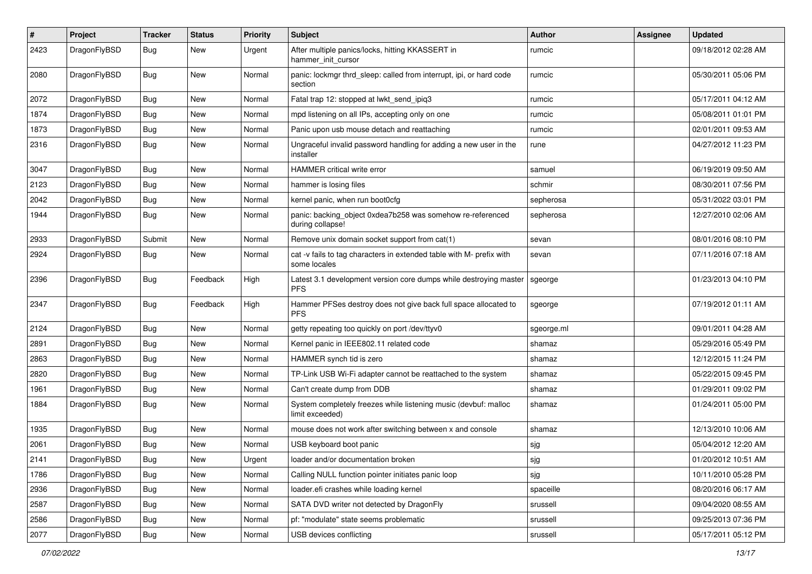| $\pmb{\#}$ | Project      | <b>Tracker</b> | <b>Status</b> | <b>Priority</b> | <b>Subject</b>                                                                       | Author     | <b>Assignee</b> | <b>Updated</b>      |
|------------|--------------|----------------|---------------|-----------------|--------------------------------------------------------------------------------------|------------|-----------------|---------------------|
| 2423       | DragonFlyBSD | Bug            | New           | Urgent          | After multiple panics/locks, hitting KKASSERT in<br>hammer init cursor               | rumcic     |                 | 09/18/2012 02:28 AM |
| 2080       | DragonFlyBSD | <b>Bug</b>     | <b>New</b>    | Normal          | panic: lockmgr thrd sleep: called from interrupt, ipi, or hard code<br>section       | rumcic     |                 | 05/30/2011 05:06 PM |
| 2072       | DragonFlyBSD | <b>Bug</b>     | <b>New</b>    | Normal          | Fatal trap 12: stopped at lwkt_send_ipiq3                                            | rumcic     |                 | 05/17/2011 04:12 AM |
| 1874       | DragonFlyBSD | <b>Bug</b>     | New           | Normal          | mpd listening on all IPs, accepting only on one                                      | rumcic     |                 | 05/08/2011 01:01 PM |
| 1873       | DragonFlyBSD | <b>Bug</b>     | New           | Normal          | Panic upon usb mouse detach and reattaching                                          | rumcic     |                 | 02/01/2011 09:53 AM |
| 2316       | DragonFlyBSD | <b>Bug</b>     | New           | Normal          | Ungraceful invalid password handling for adding a new user in the<br>installer       | rune       |                 | 04/27/2012 11:23 PM |
| 3047       | DragonFlyBSD | Bug            | <b>New</b>    | Normal          | <b>HAMMER</b> critical write error                                                   | samuel     |                 | 06/19/2019 09:50 AM |
| 2123       | DragonFlyBSD | Bug            | New           | Normal          | hammer is losing files                                                               | schmir     |                 | 08/30/2011 07:56 PM |
| 2042       | DragonFlyBSD | <b>Bug</b>     | New           | Normal          | kernel panic, when run boot0cfg                                                      | sepherosa  |                 | 05/31/2022 03:01 PM |
| 1944       | DragonFlyBSD | <b>Bug</b>     | New           | Normal          | panic: backing_object 0xdea7b258 was somehow re-referenced<br>during collapse!       | sepherosa  |                 | 12/27/2010 02:06 AM |
| 2933       | DragonFlyBSD | Submit         | <b>New</b>    | Normal          | Remove unix domain socket support from cat(1)                                        | sevan      |                 | 08/01/2016 08:10 PM |
| 2924       | DragonFlyBSD | <b>Bug</b>     | New           | Normal          | cat -v fails to tag characters in extended table with M- prefix with<br>some locales | sevan      |                 | 07/11/2016 07:18 AM |
| 2396       | DragonFlyBSD | <b>Bug</b>     | Feedback      | High            | Latest 3.1 development version core dumps while destroying master<br><b>PFS</b>      | sgeorge    |                 | 01/23/2013 04:10 PM |
| 2347       | DragonFlyBSD | <b>Bug</b>     | Feedback      | High            | Hammer PFSes destroy does not give back full space allocated to<br><b>PFS</b>        | sgeorge    |                 | 07/19/2012 01:11 AM |
| 2124       | DragonFlyBSD | <b>Bug</b>     | <b>New</b>    | Normal          | getty repeating too quickly on port /dev/ttyv0                                       | sgeorge.ml |                 | 09/01/2011 04:28 AM |
| 2891       | DragonFlyBSD | Bug            | New           | Normal          | Kernel panic in IEEE802.11 related code                                              | shamaz     |                 | 05/29/2016 05:49 PM |
| 2863       | DragonFlyBSD | <b>Bug</b>     | New           | Normal          | HAMMER synch tid is zero                                                             | shamaz     |                 | 12/12/2015 11:24 PM |
| 2820       | DragonFlyBSD | <b>Bug</b>     | <b>New</b>    | Normal          | TP-Link USB Wi-Fi adapter cannot be reattached to the system                         | shamaz     |                 | 05/22/2015 09:45 PM |
| 1961       | DragonFlyBSD | <b>Bug</b>     | New           | Normal          | Can't create dump from DDB                                                           | shamaz     |                 | 01/29/2011 09:02 PM |
| 1884       | DragonFlyBSD | <b>Bug</b>     | New           | Normal          | System completely freezes while listening music (devbuf: malloc<br>limit exceeded)   | shamaz     |                 | 01/24/2011 05:00 PM |
| 1935       | DragonFlyBSD | Bug            | <b>New</b>    | Normal          | mouse does not work after switching between x and console                            | shamaz     |                 | 12/13/2010 10:06 AM |
| 2061       | DragonFlyBSD | Bug            | New           | Normal          | USB keyboard boot panic                                                              | sjg        |                 | 05/04/2012 12:20 AM |
| 2141       | DragonFlyBSD | <b>Bug</b>     | New           | Urgent          | loader and/or documentation broken                                                   | sjg        |                 | 01/20/2012 10:51 AM |
| 1786       | DragonFlyBSD | <b>Bug</b>     | New           | Normal          | Calling NULL function pointer initiates panic loop                                   | sjg        |                 | 10/11/2010 05:28 PM |
| 2936       | DragonFlyBSD | <b>Bug</b>     | New           | Normal          | loader.efi crashes while loading kernel                                              | spaceille  |                 | 08/20/2016 06:17 AM |
| 2587       | DragonFlyBSD | Bug            | New           | Normal          | SATA DVD writer not detected by DragonFly                                            | srussell   |                 | 09/04/2020 08:55 AM |
| 2586       | DragonFlyBSD | Bug            | New           | Normal          | pf: "modulate" state seems problematic                                               | srussell   |                 | 09/25/2013 07:36 PM |
| 2077       | DragonFlyBSD | <b>Bug</b>     | New           | Normal          | USB devices conflicting                                                              | srussell   |                 | 05/17/2011 05:12 PM |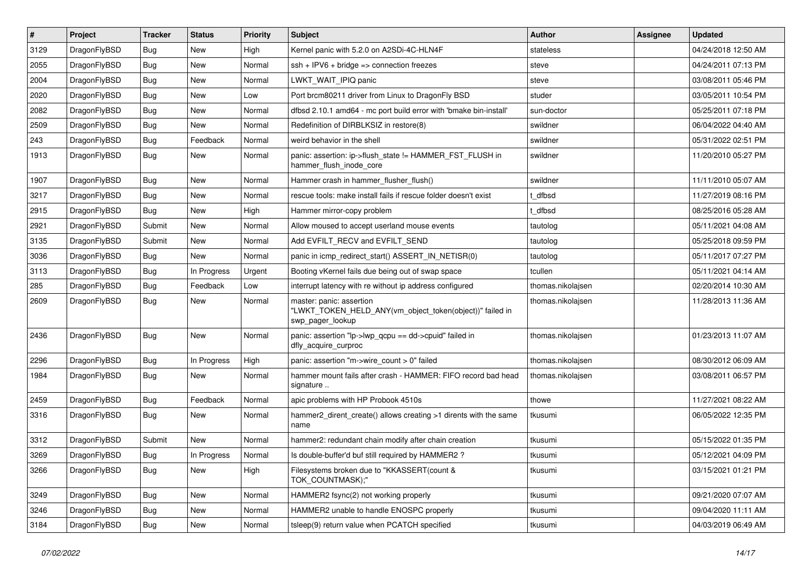| $\sharp$ | Project      | <b>Tracker</b> | <b>Status</b> | <b>Priority</b> | Subject                                                                                                  | Author            | Assignee | <b>Updated</b>      |
|----------|--------------|----------------|---------------|-----------------|----------------------------------------------------------------------------------------------------------|-------------------|----------|---------------------|
| 3129     | DragonFlyBSD | Bug            | New           | High            | Kernel panic with 5.2.0 on A2SDi-4C-HLN4F                                                                | stateless         |          | 04/24/2018 12:50 AM |
| 2055     | DragonFlyBSD | Bug            | New           | Normal          | $ssh + IPV6 + bridge \Rightarrow connection freezes$                                                     | steve             |          | 04/24/2011 07:13 PM |
| 2004     | DragonFlyBSD | Bug            | <b>New</b>    | Normal          | LWKT WAIT IPIQ panic                                                                                     | steve             |          | 03/08/2011 05:46 PM |
| 2020     | DragonFlyBSD | Bug            | New           | Low             | Port brcm80211 driver from Linux to DragonFly BSD                                                        | studer            |          | 03/05/2011 10:54 PM |
| 2082     | DragonFlyBSD | Bug            | <b>New</b>    | Normal          | dfbsd 2.10.1 amd64 - mc port build error with 'bmake bin-install'                                        | sun-doctor        |          | 05/25/2011 07:18 PM |
| 2509     | DragonFlyBSD | Bug            | <b>New</b>    | Normal          | Redefinition of DIRBLKSIZ in restore(8)                                                                  | swildner          |          | 06/04/2022 04:40 AM |
| 243      | DragonFlyBSD | Bug            | Feedback      | Normal          | weird behavior in the shell                                                                              | swildner          |          | 05/31/2022 02:51 PM |
| 1913     | DragonFlyBSD | Bug            | New           | Normal          | panic: assertion: ip->flush_state != HAMMER_FST_FLUSH in<br>hammer_flush_inode_core                      | swildner          |          | 11/20/2010 05:27 PM |
| 1907     | DragonFlyBSD | Bug            | <b>New</b>    | Normal          | Hammer crash in hammer_flusher_flush()                                                                   | swildner          |          | 11/11/2010 05:07 AM |
| 3217     | DragonFlyBSD | <b>Bug</b>     | New           | Normal          | rescue tools: make install fails if rescue folder doesn't exist                                          | : dfbsd           |          | 11/27/2019 08:16 PM |
| 2915     | DragonFlyBSD | <b>Bug</b>     | New           | High            | Hammer mirror-copy problem                                                                               | t dfbsd           |          | 08/25/2016 05:28 AM |
| 2921     | DragonFlyBSD | Submit         | <b>New</b>    | Normal          | Allow moused to accept userland mouse events                                                             | tautolog          |          | 05/11/2021 04:08 AM |
| 3135     | DragonFlyBSD | Submit         | <b>New</b>    | Normal          | Add EVFILT_RECV and EVFILT_SEND                                                                          | tautolog          |          | 05/25/2018 09:59 PM |
| 3036     | DragonFlyBSD | Bug            | New           | Normal          | panic in icmp_redirect_start() ASSERT_IN_NETISR(0)                                                       | tautolog          |          | 05/11/2017 07:27 PM |
| 3113     | DragonFlyBSD | <b>Bug</b>     | In Progress   | Urgent          | Booting vKernel fails due being out of swap space                                                        | tcullen           |          | 05/11/2021 04:14 AM |
| 285      | DragonFlyBSD | <b>Bug</b>     | Feedback      | Low             | interrupt latency with re without ip address configured                                                  | thomas.nikolajsen |          | 02/20/2014 10:30 AM |
| 2609     | DragonFlyBSD | Bug            | New           | Normal          | master: panic: assertion<br>"LWKT_TOKEN_HELD_ANY(vm_object_token(object))" failed in<br>swp_pager_lookup | thomas.nikolajsen |          | 11/28/2013 11:36 AM |
| 2436     | DragonFlyBSD | <b>Bug</b>     | <b>New</b>    | Normal          | panic: assertion "lp->lwp_qcpu == dd->cpuid" failed in<br>dfly_acquire_curproc                           | thomas.nikolajsen |          | 01/23/2013 11:07 AM |
| 2296     | DragonFlyBSD | Bug            | In Progress   | High            | panic: assertion "m->wire_count > 0" failed                                                              | thomas.nikolajsen |          | 08/30/2012 06:09 AM |
| 1984     | DragonFlyBSD | <b>Bug</b>     | <b>New</b>    | Normal          | hammer mount fails after crash - HAMMER: FIFO record bad head<br>signature                               | thomas.nikolajsen |          | 03/08/2011 06:57 PM |
| 2459     | DragonFlyBSD | Bug            | Feedback      | Normal          | apic problems with HP Probook 4510s                                                                      | thowe             |          | 11/27/2021 08:22 AM |
| 3316     | DragonFlyBSD | <b>Bug</b>     | New           | Normal          | hammer2_dirent_create() allows creating >1 dirents with the same<br>name                                 | tkusumi           |          | 06/05/2022 12:35 PM |
| 3312     | DragonFlyBSD | Submit         | New           | Normal          | hammer2: redundant chain modify after chain creation                                                     | tkusumi           |          | 05/15/2022 01:35 PM |
| 3269     | DragonFlyBSD | <b>Bug</b>     | In Progress   | Normal          | Is double-buffer'd buf still required by HAMMER2?                                                        | tkusumi           |          | 05/12/2021 04:09 PM |
| 3266     | DragonFlyBSD | <b>Bug</b>     | New           | High            | Filesystems broken due to "KKASSERT(count &<br>TOK_COUNTMASK);"                                          | tkusumi           |          | 03/15/2021 01:21 PM |
| 3249     | DragonFlyBSD | <b>Bug</b>     | New           | Normal          | HAMMER2 fsync(2) not working properly                                                                    | tkusumi           |          | 09/21/2020 07:07 AM |
| 3246     | DragonFlyBSD | <b>Bug</b>     | <b>New</b>    | Normal          | HAMMER2 unable to handle ENOSPC properly                                                                 | tkusumi           |          | 09/04/2020 11:11 AM |
| 3184     | DragonFlyBSD | <b>Bug</b>     | New           | Normal          | tsleep(9) return value when PCATCH specified                                                             | tkusumi           |          | 04/03/2019 06:49 AM |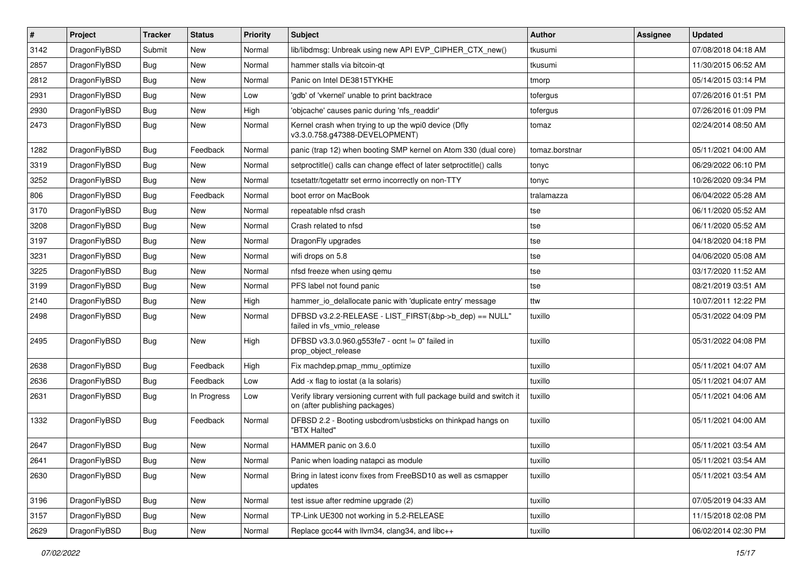| $\vert$ # | Project      | <b>Tracker</b> | <b>Status</b> | <b>Priority</b> | Subject                                                                                                   | Author         | Assignee | <b>Updated</b>      |
|-----------|--------------|----------------|---------------|-----------------|-----------------------------------------------------------------------------------------------------------|----------------|----------|---------------------|
| 3142      | DragonFlyBSD | Submit         | New           | Normal          | lib/libdmsg: Unbreak using new API EVP_CIPHER_CTX_new()                                                   | tkusumi        |          | 07/08/2018 04:18 AM |
| 2857      | DragonFlyBSD | Bug            | <b>New</b>    | Normal          | hammer stalls via bitcoin-qt                                                                              | tkusumi        |          | 11/30/2015 06:52 AM |
| 2812      | DragonFlyBSD | <b>Bug</b>     | <b>New</b>    | Normal          | Panic on Intel DE3815TYKHE                                                                                | tmorp          |          | 05/14/2015 03:14 PM |
| 2931      | DragonFlyBSD | Bug            | New           | Low             | 'gdb' of 'vkernel' unable to print backtrace                                                              | tofergus       |          | 07/26/2016 01:51 PM |
| 2930      | DragonFlyBSD | <b>Bug</b>     | <b>New</b>    | High            | 'objcache' causes panic during 'nfs_readdir'                                                              | tofergus       |          | 07/26/2016 01:09 PM |
| 2473      | DragonFlyBSD | <b>Bug</b>     | New           | Normal          | Kernel crash when trying to up the wpi0 device (Dfly<br>v3.3.0.758.g47388-DEVELOPMENT)                    | tomaz          |          | 02/24/2014 08:50 AM |
| 1282      | DragonFlyBSD | Bug            | Feedback      | Normal          | panic (trap 12) when booting SMP kernel on Atom 330 (dual core)                                           | tomaz.borstnar |          | 05/11/2021 04:00 AM |
| 3319      | DragonFlyBSD | Bug            | New           | Normal          | setproctitle() calls can change effect of later setproctitle() calls                                      | tonyc          |          | 06/29/2022 06:10 PM |
| 3252      | DragonFlyBSD | Bug            | New           | Normal          | tcsetattr/tcgetattr set errno incorrectly on non-TTY                                                      | tonyc          |          | 10/26/2020 09:34 PM |
| 806       | DragonFlyBSD | <b>Bug</b>     | Feedback      | Normal          | boot error on MacBook                                                                                     | tralamazza     |          | 06/04/2022 05:28 AM |
| 3170      | DragonFlyBSD | Bug            | New           | Normal          | repeatable nfsd crash                                                                                     | tse            |          | 06/11/2020 05:52 AM |
| 3208      | DragonFlyBSD | <b>Bug</b>     | New           | Normal          | Crash related to nfsd                                                                                     | tse            |          | 06/11/2020 05:52 AM |
| 3197      | DragonFlyBSD | Bug            | New           | Normal          | DragonFly upgrades                                                                                        | tse            |          | 04/18/2020 04:18 PM |
| 3231      | DragonFlyBSD | <b>Bug</b>     | <b>New</b>    | Normal          | wifi drops on 5.8                                                                                         | tse            |          | 04/06/2020 05:08 AM |
| 3225      | DragonFlyBSD | <b>Bug</b>     | New           | Normal          | nfsd freeze when using gemu                                                                               | tse            |          | 03/17/2020 11:52 AM |
| 3199      | DragonFlyBSD | Bug            | New           | Normal          | PFS label not found panic                                                                                 | tse            |          | 08/21/2019 03:51 AM |
| 2140      | DragonFlyBSD | <b>Bug</b>     | <b>New</b>    | High            | hammer_io_delallocate panic with 'duplicate entry' message                                                | ttw            |          | 10/07/2011 12:22 PM |
| 2498      | DragonFlyBSD | <b>Bug</b>     | New           | Normal          | DFBSD v3.2.2-RELEASE - LIST_FIRST(&bp->b_dep) == NULL"<br>failed in vfs_vmio_release                      | tuxillo        |          | 05/31/2022 04:09 PM |
| 2495      | DragonFlyBSD | Bug            | New           | High            | DFBSD v3.3.0.960.g553fe7 - ocnt != 0" failed in<br>prop_object_release                                    | tuxillo        |          | 05/31/2022 04:08 PM |
| 2638      | DragonFlyBSD | <b>Bug</b>     | Feedback      | High            | Fix machdep.pmap_mmu_optimize                                                                             | tuxillo        |          | 05/11/2021 04:07 AM |
| 2636      | DragonFlyBSD | <b>Bug</b>     | Feedback      | Low             | Add -x flag to iostat (a la solaris)                                                                      | tuxillo        |          | 05/11/2021 04:07 AM |
| 2631      | DragonFlyBSD | Bug            | In Progress   | Low             | Verify library versioning current with full package build and switch it<br>on (after publishing packages) | tuxillo        |          | 05/11/2021 04:06 AM |
| 1332      | DragonFlyBSD | <b>Bug</b>     | Feedback      | Normal          | DFBSD 2.2 - Booting usbcdrom/usbsticks on thinkpad hangs on<br>"BTX Halted"                               | tuxillo        |          | 05/11/2021 04:00 AM |
| 2647      | DragonFlyBSD | Bug            | New           | Normal          | HAMMER panic on 3.6.0                                                                                     | tuxillo        |          | 05/11/2021 03:54 AM |
| 2641      | DragonFlyBSD | Bug            | New           | Normal          | Panic when loading natapci as module                                                                      | tuxillo        |          | 05/11/2021 03:54 AM |
| 2630      | DragonFlyBSD | Bug            | New           | Normal          | Bring in latest iconv fixes from FreeBSD10 as well as csmapper<br>updates                                 | tuxillo        |          | 05/11/2021 03:54 AM |
| 3196      | DragonFlyBSD | <b>Bug</b>     | New           | Normal          | test issue after redmine upgrade (2)                                                                      | tuxillo        |          | 07/05/2019 04:33 AM |
| 3157      | DragonFlyBSD | <b>Bug</b>     | New           | Normal          | TP-Link UE300 not working in 5.2-RELEASE                                                                  | tuxillo        |          | 11/15/2018 02:08 PM |
| 2629      | DragonFlyBSD | Bug            | New           | Normal          | Replace gcc44 with llvm34, clang34, and libc++                                                            | tuxillo        |          | 06/02/2014 02:30 PM |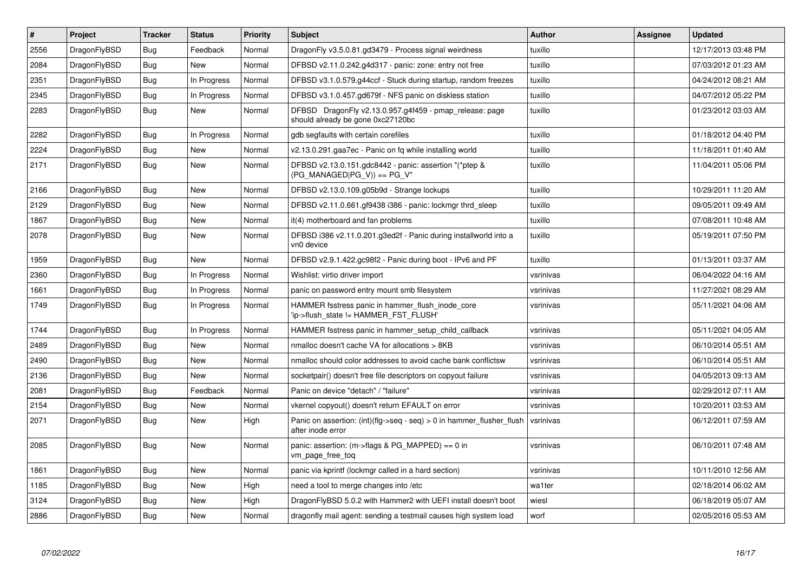| $\#$ | Project      | <b>Tracker</b> | <b>Status</b> | <b>Priority</b> | <b>Subject</b>                                                                                | <b>Author</b> | Assignee | <b>Updated</b>      |
|------|--------------|----------------|---------------|-----------------|-----------------------------------------------------------------------------------------------|---------------|----------|---------------------|
| 2556 | DragonFlyBSD | Bug            | Feedback      | Normal          | DragonFly v3.5.0.81.gd3479 - Process signal weirdness                                         | tuxillo       |          | 12/17/2013 03:48 PM |
| 2084 | DragonFlyBSD | Bug            | New           | Normal          | DFBSD v2.11.0.242.g4d317 - panic: zone: entry not free                                        | tuxillo       |          | 07/03/2012 01:23 AM |
| 2351 | DragonFlyBSD | Bug            | In Progress   | Normal          | DFBSD v3.1.0.579.g44ccf - Stuck during startup, random freezes                                | tuxillo       |          | 04/24/2012 08:21 AM |
| 2345 | DragonFlyBSD | <b>Bug</b>     | In Progress   | Normal          | DFBSD v3.1.0.457.gd679f - NFS panic on diskless station                                       | tuxillo       |          | 04/07/2012 05:22 PM |
| 2283 | DragonFlyBSD | Bug            | <b>New</b>    | Normal          | DFBSD DragonFly v2.13.0.957.g4f459 - pmap release: page<br>should already be gone 0xc27120bc  | tuxillo       |          | 01/23/2012 03:03 AM |
| 2282 | DragonFlyBSD | Bug            | In Progress   | Normal          | gdb segfaults with certain corefiles                                                          | tuxillo       |          | 01/18/2012 04:40 PM |
| 2224 | DragonFlyBSD | <b>Bug</b>     | <b>New</b>    | Normal          | v2.13.0.291.gaa7ec - Panic on fq while installing world                                       | tuxillo       |          | 11/18/2011 01:40 AM |
| 2171 | DragonFlyBSD | Bug            | New           | Normal          | DFBSD v2.13.0.151.gdc8442 - panic: assertion "(*ptep &<br>$(PG_MANAGED PG_V)$ == $PG_V$ "     | tuxillo       |          | 11/04/2011 05:06 PM |
| 2166 | DragonFlyBSD | <b>Bug</b>     | <b>New</b>    | Normal          | DFBSD v2.13.0.109.g05b9d - Strange lockups                                                    | tuxillo       |          | 10/29/2011 11:20 AM |
| 2129 | DragonFlyBSD | Bug            | <b>New</b>    | Normal          | DFBSD v2.11.0.661.gf9438 i386 - panic: lockmgr thrd sleep                                     | tuxillo       |          | 09/05/2011 09:49 AM |
| 1867 | DragonFlyBSD | <b>Bug</b>     | New           | Normal          | it(4) motherboard and fan problems                                                            | tuxillo       |          | 07/08/2011 10:48 AM |
| 2078 | DragonFlyBSD | <b>Bug</b>     | <b>New</b>    | Normal          | DFBSD i386 v2.11.0.201.g3ed2f - Panic during installworld into a<br>vn0 device                | tuxillo       |          | 05/19/2011 07:50 PM |
| 1959 | DragonFlyBSD | <b>Bug</b>     | <b>New</b>    | Normal          | DFBSD v2.9.1.422.gc98f2 - Panic during boot - IPv6 and PF                                     | tuxillo       |          | 01/13/2011 03:37 AM |
| 2360 | DragonFlyBSD | <b>Bug</b>     | In Progress   | Normal          | Wishlist: virtio driver import                                                                | vsrinivas     |          | 06/04/2022 04:16 AM |
| 1661 | DragonFlyBSD | Bug            | In Progress   | Normal          | panic on password entry mount smb filesystem                                                  | vsrinivas     |          | 11/27/2021 08:29 AM |
| 1749 | DragonFlyBSD | <b>Bug</b>     | In Progress   | Normal          | HAMMER fsstress panic in hammer_flush_inode_core<br>'ip->flush state != HAMMER FST FLUSH'     | vsrinivas     |          | 05/11/2021 04:06 AM |
| 1744 | DragonFlyBSD | Bug            | In Progress   | Normal          | HAMMER fsstress panic in hammer_setup_child_callback                                          | vsrinivas     |          | 05/11/2021 04:05 AM |
| 2489 | DragonFlyBSD | Bug            | <b>New</b>    | Normal          | nmalloc doesn't cache VA for allocations > 8KB                                                | vsrinivas     |          | 06/10/2014 05:51 AM |
| 2490 | DragonFlyBSD | Bug            | <b>New</b>    | Normal          | nmalloc should color addresses to avoid cache bank conflictsw                                 | vsrinivas     |          | 06/10/2014 05:51 AM |
| 2136 | DragonFlyBSD | Bug            | New           | Normal          | socketpair() doesn't free file descriptors on copyout failure                                 | vsrinivas     |          | 04/05/2013 09:13 AM |
| 2081 | DragonFlyBSD | Bug            | Feedback      | Normal          | Panic on device "detach" / "failure"                                                          | vsrinivas     |          | 02/29/2012 07:11 AM |
| 2154 | DragonFlyBSD | <b>Bug</b>     | <b>New</b>    | Normal          | vkernel copyout() doesn't return EFAULT on error                                              | vsrinivas     |          | 10/20/2011 03:53 AM |
| 2071 | DragonFlyBSD | Bug            | <b>New</b>    | High            | Panic on assertion: $(int)(flag->seq - seq) > 0$ in hammer flusher flush<br>after inode error | vsrinivas     |          | 06/12/2011 07:59 AM |
| 2085 | DragonFlyBSD | Bug            | <b>New</b>    | Normal          | panic: assertion: $(m\rightarrow$ flags & PG MAPPED) == 0 in<br>vm_page_free_toq              | vsrinivas     |          | 06/10/2011 07:48 AM |
| 1861 | DragonFlyBSD | Bug            | <b>New</b>    | Normal          | panic via kprintf (lockmgr called in a hard section)                                          | vsrinivas     |          | 10/11/2010 12:56 AM |
| 1185 | DragonFlyBSD | Bug            | New           | High            | need a tool to merge changes into /etc                                                        | wa1ter        |          | 02/18/2014 06:02 AM |
| 3124 | DragonFlyBSD | Bug            | New           | High            | DragonFlyBSD 5.0.2 with Hammer2 with UEFI install doesn't boot                                | wiesl         |          | 06/18/2019 05:07 AM |
| 2886 | DragonFlyBSD | Bug            | <b>New</b>    | Normal          | dragonfly mail agent: sending a testmail causes high system load                              | worf          |          | 02/05/2016 05:53 AM |